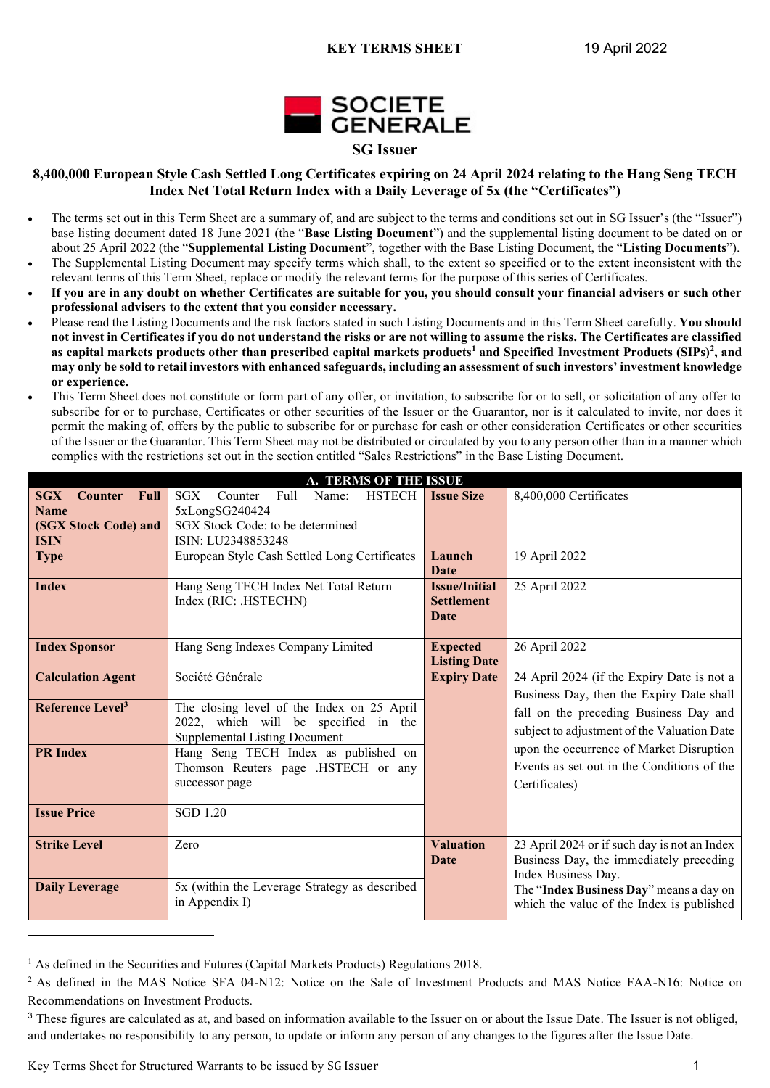

## **8,400,000 European Style Cash Settled Long Certificates expiring on 24 April 2024 relating to the Hang Seng TECH Index Net Total Return Index with a Daily Leverage of 5x (the "Certificates")**

- The terms set out in this Term Sheet are a summary of, and are subject to the terms and conditions set out in SG Issuer's (the "Issuer") base listing document dated 18 June 2021 (the "**Base Listing Document**") and the supplemental listing document to be dated on or about 25 April 2022 (the "**Supplemental Listing Document**", together with the Base Listing Document, the "**Listing Documents**").
- The Supplemental Listing Document may specify terms which shall, to the extent so specified or to the extent inconsistent with the relevant terms of this Term Sheet, replace or modify the relevant terms for the purpose of this series of Certificates.
- **If you are in any doubt on whether Certificates are suitable for you, you should consult your financial advisers or such other professional advisers to the extent that you consider necessary.**
- Please read the Listing Documents and the risk factors stated in such Listing Documents and in this Term Sheet carefully. **You should not invest in Certificates if you do not understand the risks or are not willing to assume the risks. The Certificates are classified as capital markets products other than prescribed capital markets products<sup>1</sup> and Specified Investment Products (SIPs)<sup>2</sup> , and may only be sold to retail investors with enhanced safeguards, including an assessment of such investors' investment knowledge or experience.**
- This Term Sheet does not constitute or form part of any offer, or invitation, to subscribe for or to sell, or solicitation of any offer to subscribe for or to purchase, Certificates or other securities of the Issuer or the Guarantor, nor is it calculated to invite, nor does it permit the making of, offers by the public to subscribe for or purchase for cash or other consideration Certificates or other securities of the Issuer or the Guarantor. This Term Sheet may not be distributed or circulated by you to any person other than in a manner which complies with the restrictions set out in the section entitled "Sales Restrictions" in the Base Listing Document.

| A. TERMS OF THE ISSUE                                    |                                               |                      |                                              |  |  |  |
|----------------------------------------------------------|-----------------------------------------------|----------------------|----------------------------------------------|--|--|--|
| <b>SGX</b><br><b>Full</b><br><b>Counter</b>              | Full<br>HSTECH  <br>SGX<br>Counter<br>Name:   | <b>Issue Size</b>    | 8,400,000 Certificates                       |  |  |  |
| <b>Name</b>                                              | 5xLongSG240424                                |                      |                                              |  |  |  |
| (SGX Stock Code) and<br>SGX Stock Code: to be determined |                                               |                      |                                              |  |  |  |
| <b>ISIN</b>                                              | ISIN: LU2348853248                            |                      |                                              |  |  |  |
| <b>Type</b>                                              | European Style Cash Settled Long Certificates | Launch               | 19 April 2022                                |  |  |  |
|                                                          |                                               | <b>Date</b>          |                                              |  |  |  |
| <b>Index</b>                                             | Hang Seng TECH Index Net Total Return         | <b>Issue/Initial</b> | 25 April 2022                                |  |  |  |
|                                                          | Index (RIC: .HSTECHN)                         | <b>Settlement</b>    |                                              |  |  |  |
|                                                          |                                               | Date                 |                                              |  |  |  |
| <b>Index Sponsor</b>                                     | Hang Seng Indexes Company Limited             | <b>Expected</b>      | 26 April 2022                                |  |  |  |
|                                                          |                                               | <b>Listing Date</b>  |                                              |  |  |  |
| <b>Calculation Agent</b>                                 | Société Générale                              | <b>Expiry Date</b>   | 24 April 2024 (if the Expiry Date is not a   |  |  |  |
|                                                          |                                               |                      | Business Day, then the Expiry Date shall     |  |  |  |
| Reference Level <sup>3</sup>                             | The closing level of the Index on 25 April    |                      | fall on the preceding Business Day and       |  |  |  |
|                                                          | 2022, which will be specified in the          |                      | subject to adjustment of the Valuation Date  |  |  |  |
|                                                          | <b>Supplemental Listing Document</b>          |                      |                                              |  |  |  |
| <b>PR</b> Index                                          | Hang Seng TECH Index as published on          |                      | upon the occurrence of Market Disruption     |  |  |  |
|                                                          | Thomson Reuters page .HSTECH or any           |                      | Events as set out in the Conditions of the   |  |  |  |
|                                                          | successor page                                |                      | Certificates)                                |  |  |  |
|                                                          |                                               |                      |                                              |  |  |  |
| <b>Issue Price</b>                                       | <b>SGD 1.20</b>                               |                      |                                              |  |  |  |
|                                                          |                                               |                      |                                              |  |  |  |
| <b>Strike Level</b>                                      | Zero                                          | <b>Valuation</b>     | 23 April 2024 or if such day is not an Index |  |  |  |
|                                                          |                                               | Date                 | Business Day, the immediately preceding      |  |  |  |
|                                                          |                                               |                      | Index Business Day.                          |  |  |  |
| <b>Daily Leverage</b>                                    | 5x (within the Leverage Strategy as described |                      | The "Index Business Day" means a day on      |  |  |  |
|                                                          | in Appendix I)                                |                      | which the value of the Index is published    |  |  |  |

 $<sup>1</sup>$  As defined in the Securities and Futures (Capital Markets Products) Regulations 2018.</sup>

Key Terms Sheet for Structured Warrants to be issued by SG Issuer 1

<sup>&</sup>lt;sup>2</sup> As defined in the MAS Notice SFA 04-N12: Notice on the Sale of Investment Products and MAS Notice FAA-N16: Notice on Recommendations on Investment Products.

<sup>&</sup>lt;sup>3</sup> These figures are calculated as at, and based on information available to the Issuer on or about the Issue Date. The Issuer is not obliged, and undertakes no responsibility to any person, to update or inform any person of any changes to the figures after the Issue Date.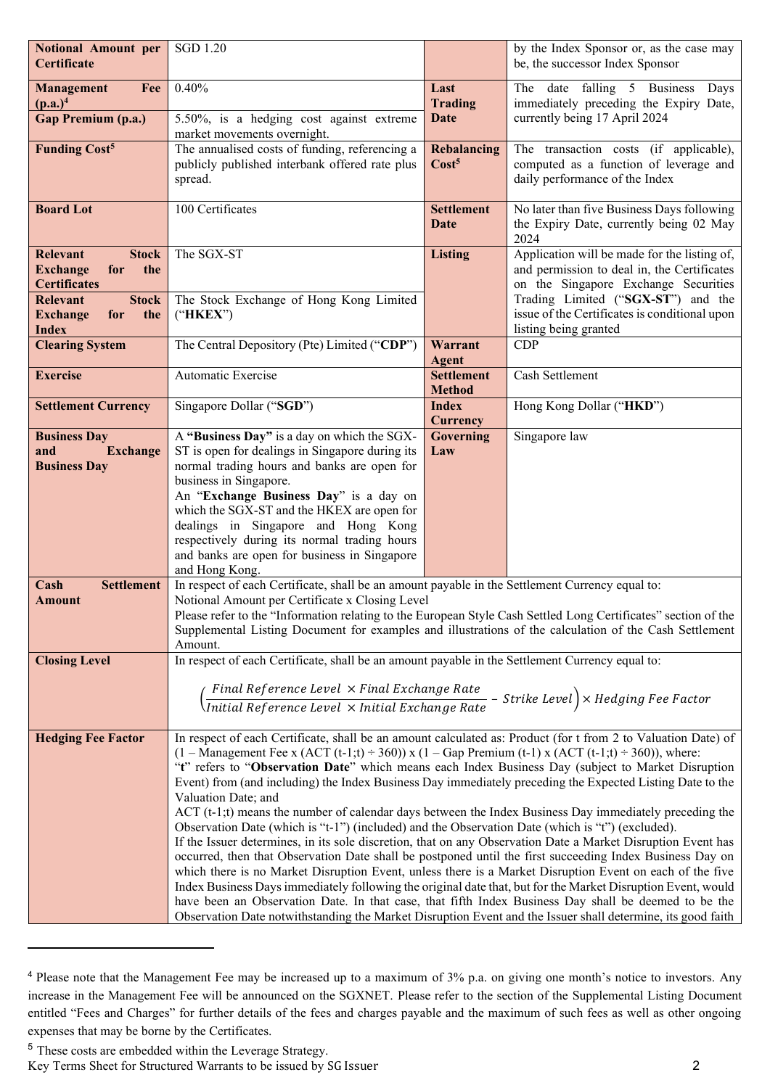| <b>Notional Amount per</b><br>Certificate            | <b>SGD 1.20</b>                                                                                                                                                                                                                                                |                                                                                               | by the Index Sponsor or, as the case may<br>be, the successor Index Sponsor           |  |  |
|------------------------------------------------------|----------------------------------------------------------------------------------------------------------------------------------------------------------------------------------------------------------------------------------------------------------------|-----------------------------------------------------------------------------------------------|---------------------------------------------------------------------------------------|--|--|
| Management<br>Fee                                    | 0.40%                                                                                                                                                                                                                                                          | Last                                                                                          | The date falling 5 Business Days                                                      |  |  |
| $(p.a.)^4$                                           |                                                                                                                                                                                                                                                                | <b>Trading</b>                                                                                | immediately preceding the Expiry Date,                                                |  |  |
| <b>Gap Premium (p.a.)</b>                            | 5.50%, is a hedging cost against extreme<br>market movements overnight.                                                                                                                                                                                        | Date                                                                                          | currently being 17 April 2024                                                         |  |  |
| <b>Funding Cost<sup>5</sup></b>                      | The annualised costs of funding, referencing a                                                                                                                                                                                                                 | Rebalancing                                                                                   | The transaction costs (if applicable),                                                |  |  |
|                                                      | publicly published interbank offered rate plus<br>spread.                                                                                                                                                                                                      | Cost <sup>5</sup><br>computed as a function of leverage and<br>daily performance of the Index |                                                                                       |  |  |
| <b>Board Lot</b>                                     | 100 Certificates                                                                                                                                                                                                                                               | <b>Settlement</b>                                                                             | No later than five Business Days following<br>the Expiry Date, currently being 02 May |  |  |
|                                                      |                                                                                                                                                                                                                                                                | Date<br>2024                                                                                  |                                                                                       |  |  |
| <b>Relevant</b><br><b>Stock</b>                      | The SGX-ST                                                                                                                                                                                                                                                     | <b>Listing</b>                                                                                | Application will be made for the listing of,                                          |  |  |
| <b>Exchange</b><br>for<br>the<br><b>Certificates</b> |                                                                                                                                                                                                                                                                |                                                                                               | and permission to deal in, the Certificates<br>on the Singapore Exchange Securities   |  |  |
| <b>Relevant</b><br><b>Stock</b>                      | The Stock Exchange of Hong Kong Limited                                                                                                                                                                                                                        |                                                                                               | Trading Limited ("SGX-ST") and the                                                    |  |  |
| <b>Exchange</b><br>the<br>for<br><b>Index</b>        | ("HKEX")                                                                                                                                                                                                                                                       |                                                                                               | issue of the Certificates is conditional upon<br>listing being granted                |  |  |
| <b>Clearing System</b>                               | The Central Depository (Pte) Limited ("CDP")                                                                                                                                                                                                                   | Warrant                                                                                       | CDP                                                                                   |  |  |
| <b>Exercise</b>                                      | Automatic Exercise                                                                                                                                                                                                                                             | <b>Agent</b>                                                                                  |                                                                                       |  |  |
|                                                      |                                                                                                                                                                                                                                                                | <b>Settlement</b><br>Cash Settlement<br><b>Method</b>                                         |                                                                                       |  |  |
| <b>Settlement Currency</b>                           | Singapore Dollar ("SGD")                                                                                                                                                                                                                                       | <b>Index</b><br>Hong Kong Dollar ("HKD")<br><b>Currency</b>                                   |                                                                                       |  |  |
| <b>Business Day</b>                                  | A "Business Day" is a day on which the SGX-                                                                                                                                                                                                                    | Governing                                                                                     | Singapore law                                                                         |  |  |
| and<br><b>Exchange</b>                               | ST is open for dealings in Singapore during its                                                                                                                                                                                                                | Law                                                                                           |                                                                                       |  |  |
| <b>Business Day</b>                                  | normal trading hours and banks are open for                                                                                                                                                                                                                    |                                                                                               |                                                                                       |  |  |
|                                                      | business in Singapore.<br>An "Exchange Business Day" is a day on                                                                                                                                                                                               |                                                                                               |                                                                                       |  |  |
|                                                      | which the SGX-ST and the HKEX are open for                                                                                                                                                                                                                     |                                                                                               |                                                                                       |  |  |
|                                                      | dealings in Singapore and Hong Kong                                                                                                                                                                                                                            |                                                                                               |                                                                                       |  |  |
|                                                      | respectively during its normal trading hours                                                                                                                                                                                                                   |                                                                                               |                                                                                       |  |  |
|                                                      | and banks are open for business in Singapore                                                                                                                                                                                                                   |                                                                                               |                                                                                       |  |  |
| Cash<br><b>Settlement</b>                            | and Hong Kong.<br>In respect of each Certificate, shall be an amount payable in the Settlement Currency equal to:                                                                                                                                              |                                                                                               |                                                                                       |  |  |
| <b>Amount</b>                                        | Notional Amount per Certificate x Closing Level                                                                                                                                                                                                                |                                                                                               |                                                                                       |  |  |
|                                                      | Please refer to the "Information relating to the European Style Cash Settled Long Certificates" section of the                                                                                                                                                 |                                                                                               |                                                                                       |  |  |
|                                                      | Supplemental Listing Document for examples and illustrations of the calculation of the Cash Settlement                                                                                                                                                         |                                                                                               |                                                                                       |  |  |
| <b>Closing Level</b>                                 | Amount.<br>In respect of each Certificate, shall be an amount payable in the Settlement Currency equal to:                                                                                                                                                     |                                                                                               |                                                                                       |  |  |
|                                                      |                                                                                                                                                                                                                                                                |                                                                                               |                                                                                       |  |  |
|                                                      | $\left(\frac{\textit{Final Reference Level } \times \textit{Final Exchange Rate}}{\textit{Initial Reference Level } \times \textit{Initial Exchange Rate}}\right)$                                                                                             |                                                                                               | - Strike Level $\big)$ $\times$ Hedging Fee Factor                                    |  |  |
|                                                      |                                                                                                                                                                                                                                                                |                                                                                               |                                                                                       |  |  |
| <b>Hedging Fee Factor</b>                            | In respect of each Certificate, shall be an amount calculated as: Product (for t from 2 to Valuation Date) of                                                                                                                                                  |                                                                                               |                                                                                       |  |  |
|                                                      | $(1 - \text{Management} \text{ Fe } x \text{ (ACT (t-1;t) = 360)}) x (1 - \text{Gap} \text{ premium (t-1)} x (\text{ACT (t-1;t) = 360)}), \text{where:}$<br>"t" refers to "Observation Date" which means each Index Business Day (subject to Market Disruption |                                                                                               |                                                                                       |  |  |
|                                                      |                                                                                                                                                                                                                                                                |                                                                                               |                                                                                       |  |  |
|                                                      | Event) from (and including) the Index Business Day immediately preceding the Expected Listing Date to the<br>Valuation Date; and                                                                                                                               |                                                                                               |                                                                                       |  |  |
|                                                      | $ACT(t-1;t)$ means the number of calendar days between the Index Business Day immediately preceding the                                                                                                                                                        |                                                                                               |                                                                                       |  |  |
|                                                      | Observation Date (which is "t-1") (included) and the Observation Date (which is "t") (excluded).                                                                                                                                                               |                                                                                               |                                                                                       |  |  |
|                                                      | If the Issuer determines, in its sole discretion, that on any Observation Date a Market Disruption Event has<br>occurred, then that Observation Date shall be postponed until the first succeeding Index Business Day on                                       |                                                                                               |                                                                                       |  |  |
|                                                      | which there is no Market Disruption Event, unless there is a Market Disruption Event on each of the five                                                                                                                                                       |                                                                                               |                                                                                       |  |  |
|                                                      | Index Business Days immediately following the original date that, but for the Market Disruption Event, would                                                                                                                                                   |                                                                                               |                                                                                       |  |  |
|                                                      | have been an Observation Date. In that case, that fifth Index Business Day shall be deemed to be the                                                                                                                                                           |                                                                                               |                                                                                       |  |  |
|                                                      | Observation Date notwithstanding the Market Disruption Event and the Issuer shall determine, its good faith                                                                                                                                                    |                                                                                               |                                                                                       |  |  |

<sup>4</sup> Please note that the Management Fee may be increased up to a maximum of 3% p.a. on giving one month's notice to investors. Any increase in the Management Fee will be announced on the SGXNET. Please refer to the section of the Supplemental Listing Document entitled "Fees and Charges" for further details of the fees and charges payable and the maximum of such fees as well as other ongoing expenses that may be borne by the Certificates.

Key Terms Sheet for Structured Warrants to be issued by SG Issuer

<sup>5</sup> These costs are embedded within the Leverage Strategy.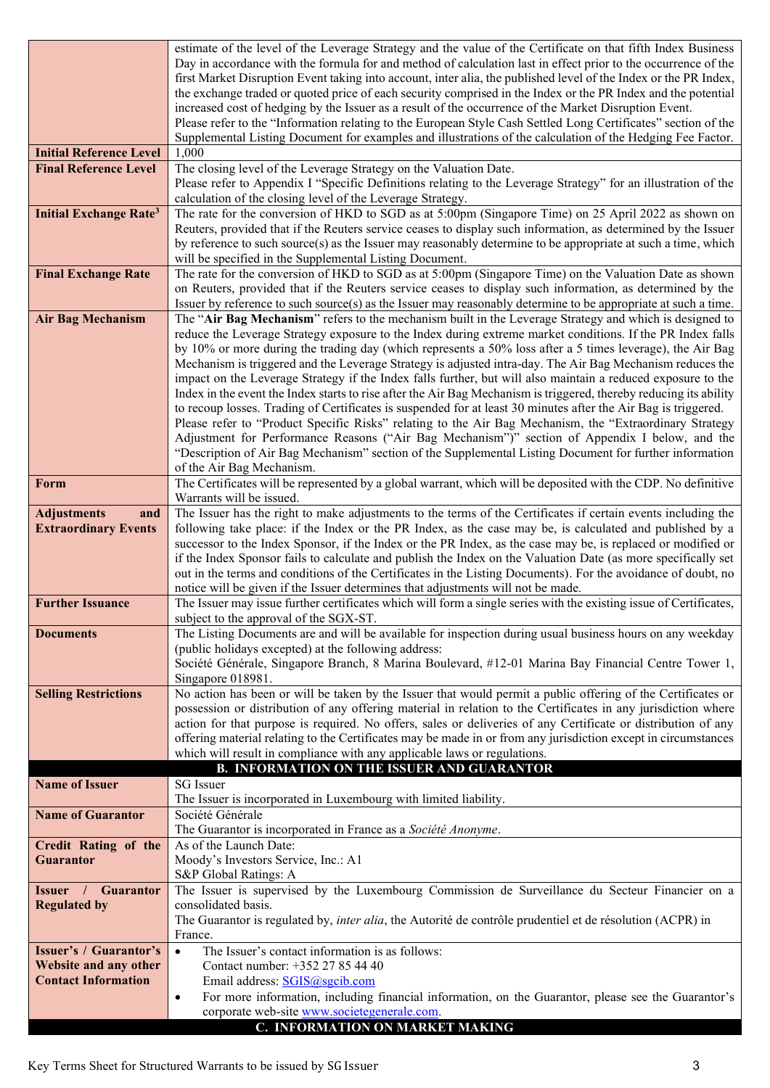|                                          | estimate of the level of the Leverage Strategy and the value of the Certificate on that fifth Index Business                                                                                                                    |
|------------------------------------------|---------------------------------------------------------------------------------------------------------------------------------------------------------------------------------------------------------------------------------|
|                                          | Day in accordance with the formula for and method of calculation last in effect prior to the occurrence of the                                                                                                                  |
|                                          | first Market Disruption Event taking into account, inter alia, the published level of the Index or the PR Index,                                                                                                                |
|                                          | the exchange traded or quoted price of each security comprised in the Index or the PR Index and the potential                                                                                                                   |
|                                          | increased cost of hedging by the Issuer as a result of the occurrence of the Market Disruption Event.                                                                                                                           |
|                                          | Please refer to the "Information relating to the European Style Cash Settled Long Certificates" section of the<br>Supplemental Listing Document for examples and illustrations of the calculation of the Hedging Fee Factor.    |
| <b>Initial Reference Level</b>           | 1,000                                                                                                                                                                                                                           |
| <b>Final Reference Level</b>             | The closing level of the Leverage Strategy on the Valuation Date.                                                                                                                                                               |
|                                          | Please refer to Appendix I "Specific Definitions relating to the Leverage Strategy" for an illustration of the                                                                                                                  |
|                                          | calculation of the closing level of the Leverage Strategy.                                                                                                                                                                      |
| <b>Initial Exchange Rate<sup>3</sup></b> | The rate for the conversion of HKD to SGD as at 5:00pm (Singapore Time) on 25 April 2022 as shown on                                                                                                                            |
|                                          | Reuters, provided that if the Reuters service ceases to display such information, as determined by the Issuer                                                                                                                   |
|                                          | by reference to such source(s) as the Issuer may reasonably determine to be appropriate at such a time, which                                                                                                                   |
|                                          | will be specified in the Supplemental Listing Document.                                                                                                                                                                         |
| <b>Final Exchange Rate</b>               | The rate for the conversion of HKD to SGD as at 5:00pm (Singapore Time) on the Valuation Date as shown                                                                                                                          |
|                                          | on Reuters, provided that if the Reuters service ceases to display such information, as determined by the                                                                                                                       |
|                                          | Issuer by reference to such source(s) as the Issuer may reasonably determine to be appropriate at such a time.                                                                                                                  |
| <b>Air Bag Mechanism</b>                 | The "Air Bag Mechanism" refers to the mechanism built in the Leverage Strategy and which is designed to                                                                                                                         |
|                                          | reduce the Leverage Strategy exposure to the Index during extreme market conditions. If the PR Index falls                                                                                                                      |
|                                          | by 10% or more during the trading day (which represents a 50% loss after a 5 times leverage), the Air Bag                                                                                                                       |
|                                          | Mechanism is triggered and the Leverage Strategy is adjusted intra-day. The Air Bag Mechanism reduces the<br>impact on the Leverage Strategy if the Index falls further, but will also maintain a reduced exposure to the       |
|                                          | Index in the event the Index starts to rise after the Air Bag Mechanism is triggered, thereby reducing its ability                                                                                                              |
|                                          | to recoup losses. Trading of Certificates is suspended for at least 30 minutes after the Air Bag is triggered.                                                                                                                  |
|                                          | Please refer to "Product Specific Risks" relating to the Air Bag Mechanism, the "Extraordinary Strategy                                                                                                                         |
|                                          | Adjustment for Performance Reasons ("Air Bag Mechanism")" section of Appendix I below, and the                                                                                                                                  |
|                                          | "Description of Air Bag Mechanism" section of the Supplemental Listing Document for further information                                                                                                                         |
|                                          | of the Air Bag Mechanism.                                                                                                                                                                                                       |
| Form                                     | The Certificates will be represented by a global warrant, which will be deposited with the CDP. No definitive                                                                                                                   |
|                                          | Warrants will be issued.                                                                                                                                                                                                        |
| <b>Adjustments</b><br>and                | The Issuer has the right to make adjustments to the terms of the Certificates if certain events including the                                                                                                                   |
| <b>Extraordinary Events</b>              | following take place: if the Index or the PR Index, as the case may be, is calculated and published by a                                                                                                                        |
|                                          | successor to the Index Sponsor, if the Index or the PR Index, as the case may be, is replaced or modified or<br>if the Index Sponsor fails to calculate and publish the Index on the Valuation Date (as more specifically set   |
|                                          | out in the terms and conditions of the Certificates in the Listing Documents). For the avoidance of doubt, no                                                                                                                   |
|                                          | notice will be given if the Issuer determines that adjustments will not be made.                                                                                                                                                |
| <b>Further Issuance</b>                  | The Issuer may issue further certificates which will form a single series with the existing issue of Certificates,                                                                                                              |
|                                          | subject to the approval of the SGX-ST.                                                                                                                                                                                          |
| <b>Documents</b>                         | The Listing Documents are and will be available for inspection during usual business hours on any weekday                                                                                                                       |
|                                          | (public holidays excepted) at the following address:                                                                                                                                                                            |
|                                          | Société Générale, Singapore Branch, 8 Marina Boulevard, #12-01 Marina Bay Financial Centre Tower 1,                                                                                                                             |
|                                          | Singapore 018981.                                                                                                                                                                                                               |
| <b>Selling Restrictions</b>              | No action has been or will be taken by the Issuer that would permit a public offering of the Certificates or                                                                                                                    |
|                                          | possession or distribution of any offering material in relation to the Certificates in any jurisdiction where                                                                                                                   |
|                                          | action for that purpose is required. No offers, sales or deliveries of any Certificate or distribution of any<br>offering material relating to the Certificates may be made in or from any jurisdiction except in circumstances |
|                                          | which will result in compliance with any applicable laws or regulations.                                                                                                                                                        |
|                                          | <b>B. INFORMATION ON THE ISSUER AND GUARANTOR</b>                                                                                                                                                                               |
| <b>Name of Issuer</b>                    | <b>SG</b> Issuer                                                                                                                                                                                                                |
|                                          | The Issuer is incorporated in Luxembourg with limited liability.                                                                                                                                                                |
| <b>Name of Guarantor</b>                 | Société Générale                                                                                                                                                                                                                |
|                                          | The Guarantor is incorporated in France as a Société Anonyme.                                                                                                                                                                   |
| <b>Credit Rating of the</b>              | As of the Launch Date:                                                                                                                                                                                                          |
| <b>Guarantor</b>                         | Moody's Investors Service, Inc.: A1                                                                                                                                                                                             |
|                                          | S&P Global Ratings: A                                                                                                                                                                                                           |
| <b>Issuer</b> / Guarantor                | The Issuer is supervised by the Luxembourg Commission de Surveillance du Secteur Financier on a                                                                                                                                 |
| <b>Regulated by</b>                      | consolidated basis.                                                                                                                                                                                                             |
|                                          | The Guarantor is regulated by, inter alia, the Autorité de contrôle prudentiel et de résolution (ACPR) in<br>France.                                                                                                            |
| <b>Issuer's / Guarantor's</b>            | The Issuer's contact information is as follows:<br>$\bullet$                                                                                                                                                                    |
| Website and any other                    | Contact number: +352 27 85 44 40                                                                                                                                                                                                |
| <b>Contact Information</b>               | Email address: SGIS@sgcib.com                                                                                                                                                                                                   |
|                                          | For more information, including financial information, on the Guarantor, please see the Guarantor's<br>$\bullet$                                                                                                                |
|                                          | corporate web-site www.societegenerale.com.                                                                                                                                                                                     |
|                                          | C. INFORMATION ON MARKET MAKING                                                                                                                                                                                                 |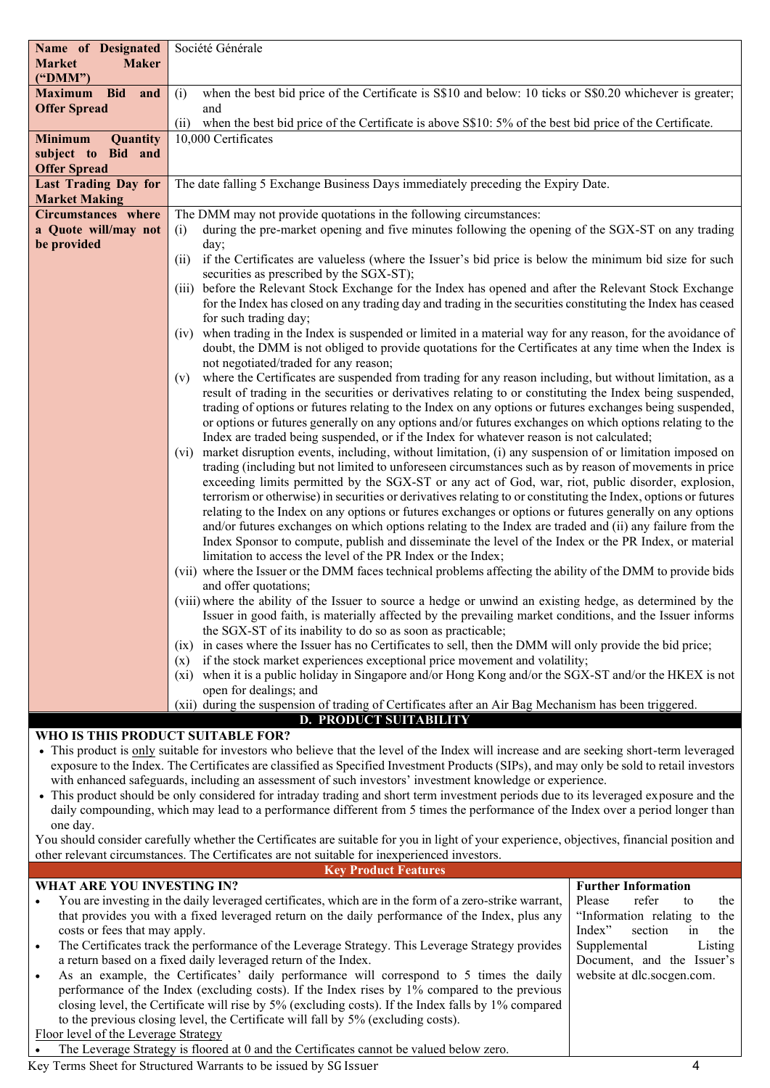| Name of Designated                                                                                                                       | Société Générale                                                                                                                                                                                                                                                                                                                                                                                                                                                                                                   |  |
|------------------------------------------------------------------------------------------------------------------------------------------|--------------------------------------------------------------------------------------------------------------------------------------------------------------------------------------------------------------------------------------------------------------------------------------------------------------------------------------------------------------------------------------------------------------------------------------------------------------------------------------------------------------------|--|
| <b>Market</b><br><b>Maker</b>                                                                                                            |                                                                                                                                                                                                                                                                                                                                                                                                                                                                                                                    |  |
| ("DMM")                                                                                                                                  |                                                                                                                                                                                                                                                                                                                                                                                                                                                                                                                    |  |
| Maximum Bid and                                                                                                                          | when the best bid price of the Certificate is S\$10 and below: 10 ticks or S\$0.20 whichever is greater;<br>(i)                                                                                                                                                                                                                                                                                                                                                                                                    |  |
| <b>Offer Spread</b>                                                                                                                      | and                                                                                                                                                                                                                                                                                                                                                                                                                                                                                                                |  |
|                                                                                                                                          | when the best bid price of the Certificate is above S\$10: 5% of the best bid price of the Certificate.<br>(i)                                                                                                                                                                                                                                                                                                                                                                                                     |  |
| Quantity<br><b>Minimum</b>                                                                                                               | 10,000 Certificates                                                                                                                                                                                                                                                                                                                                                                                                                                                                                                |  |
| subject to Bid and                                                                                                                       |                                                                                                                                                                                                                                                                                                                                                                                                                                                                                                                    |  |
| <b>Offer Spread</b>                                                                                                                      |                                                                                                                                                                                                                                                                                                                                                                                                                                                                                                                    |  |
| <b>Last Trading Day for</b>                                                                                                              | The date falling 5 Exchange Business Days immediately preceding the Expiry Date.                                                                                                                                                                                                                                                                                                                                                                                                                                   |  |
| <b>Market Making</b>                                                                                                                     |                                                                                                                                                                                                                                                                                                                                                                                                                                                                                                                    |  |
| <b>Circumstances</b> where                                                                                                               | The DMM may not provide quotations in the following circumstances:                                                                                                                                                                                                                                                                                                                                                                                                                                                 |  |
| a Quote will/may not                                                                                                                     | during the pre-market opening and five minutes following the opening of the SGX-ST on any trading<br>(i)                                                                                                                                                                                                                                                                                                                                                                                                           |  |
| be provided                                                                                                                              | day;                                                                                                                                                                                                                                                                                                                                                                                                                                                                                                               |  |
|                                                                                                                                          | if the Certificates are valueless (where the Issuer's bid price is below the minimum bid size for such<br>(11)                                                                                                                                                                                                                                                                                                                                                                                                     |  |
|                                                                                                                                          | securities as prescribed by the SGX-ST);                                                                                                                                                                                                                                                                                                                                                                                                                                                                           |  |
|                                                                                                                                          | (iii) before the Relevant Stock Exchange for the Index has opened and after the Relevant Stock Exchange                                                                                                                                                                                                                                                                                                                                                                                                            |  |
|                                                                                                                                          | for the Index has closed on any trading day and trading in the securities constituting the Index has ceased                                                                                                                                                                                                                                                                                                                                                                                                        |  |
|                                                                                                                                          | for such trading day;                                                                                                                                                                                                                                                                                                                                                                                                                                                                                              |  |
|                                                                                                                                          | (iv) when trading in the Index is suspended or limited in a material way for any reason, for the avoidance of                                                                                                                                                                                                                                                                                                                                                                                                      |  |
|                                                                                                                                          | doubt, the DMM is not obliged to provide quotations for the Certificates at any time when the Index is                                                                                                                                                                                                                                                                                                                                                                                                             |  |
|                                                                                                                                          | not negotiated/traded for any reason;                                                                                                                                                                                                                                                                                                                                                                                                                                                                              |  |
|                                                                                                                                          | where the Certificates are suspended from trading for any reason including, but without limitation, as a<br>(v)                                                                                                                                                                                                                                                                                                                                                                                                    |  |
|                                                                                                                                          | result of trading in the securities or derivatives relating to or constituting the Index being suspended,                                                                                                                                                                                                                                                                                                                                                                                                          |  |
|                                                                                                                                          | trading of options or futures relating to the Index on any options or futures exchanges being suspended,                                                                                                                                                                                                                                                                                                                                                                                                           |  |
|                                                                                                                                          | or options or futures generally on any options and/or futures exchanges on which options relating to the                                                                                                                                                                                                                                                                                                                                                                                                           |  |
|                                                                                                                                          | Index are traded being suspended, or if the Index for whatever reason is not calculated;                                                                                                                                                                                                                                                                                                                                                                                                                           |  |
|                                                                                                                                          | (vi) market disruption events, including, without limitation, (i) any suspension of or limitation imposed on                                                                                                                                                                                                                                                                                                                                                                                                       |  |
|                                                                                                                                          | trading (including but not limited to unforeseen circumstances such as by reason of movements in price                                                                                                                                                                                                                                                                                                                                                                                                             |  |
|                                                                                                                                          | exceeding limits permitted by the SGX-ST or any act of God, war, riot, public disorder, explosion,                                                                                                                                                                                                                                                                                                                                                                                                                 |  |
|                                                                                                                                          | terrorism or otherwise) in securities or derivatives relating to or constituting the Index, options or futures                                                                                                                                                                                                                                                                                                                                                                                                     |  |
|                                                                                                                                          | relating to the Index on any options or futures exchanges or options or futures generally on any options                                                                                                                                                                                                                                                                                                                                                                                                           |  |
|                                                                                                                                          | and/or futures exchanges on which options relating to the Index are traded and (ii) any failure from the                                                                                                                                                                                                                                                                                                                                                                                                           |  |
|                                                                                                                                          | Index Sponsor to compute, publish and disseminate the level of the Index or the PR Index, or material<br>limitation to access the level of the PR Index or the Index;                                                                                                                                                                                                                                                                                                                                              |  |
|                                                                                                                                          | (vii) where the Issuer or the DMM faces technical problems affecting the ability of the DMM to provide bids                                                                                                                                                                                                                                                                                                                                                                                                        |  |
|                                                                                                                                          | and offer quotations;                                                                                                                                                                                                                                                                                                                                                                                                                                                                                              |  |
|                                                                                                                                          | (viii) where the ability of the Issuer to source a hedge or unwind an existing hedge, as determined by the                                                                                                                                                                                                                                                                                                                                                                                                         |  |
|                                                                                                                                          | Issuer in good faith, is materially affected by the prevailing market conditions, and the Issuer informs                                                                                                                                                                                                                                                                                                                                                                                                           |  |
|                                                                                                                                          | the SGX-ST of its inability to do so as soon as practicable;                                                                                                                                                                                                                                                                                                                                                                                                                                                       |  |
|                                                                                                                                          | in cases where the Issuer has no Certificates to sell, then the DMM will only provide the bid price;<br>(1X)                                                                                                                                                                                                                                                                                                                                                                                                       |  |
|                                                                                                                                          |                                                                                                                                                                                                                                                                                                                                                                                                                                                                                                                    |  |
|                                                                                                                                          |                                                                                                                                                                                                                                                                                                                                                                                                                                                                                                                    |  |
|                                                                                                                                          |                                                                                                                                                                                                                                                                                                                                                                                                                                                                                                                    |  |
|                                                                                                                                          |                                                                                                                                                                                                                                                                                                                                                                                                                                                                                                                    |  |
|                                                                                                                                          |                                                                                                                                                                                                                                                                                                                                                                                                                                                                                                                    |  |
|                                                                                                                                          |                                                                                                                                                                                                                                                                                                                                                                                                                                                                                                                    |  |
|                                                                                                                                          |                                                                                                                                                                                                                                                                                                                                                                                                                                                                                                                    |  |
| exposure to the Index. The Certificates are classified as Specified Investment Products (SIPs), and may only be sold to retail investors |                                                                                                                                                                                                                                                                                                                                                                                                                                                                                                                    |  |
|                                                                                                                                          | with enhanced safeguards, including an assessment of such investors' investment knowledge or experience.                                                                                                                                                                                                                                                                                                                                                                                                           |  |
| WHO IS THIS PRODUCT SUITABLE FOR?                                                                                                        | if the stock market experiences exceptional price movement and volatility;<br>(x)<br>when it is a public holiday in Singapore and/or Hong Kong and/or the SGX-ST and/or the HKEX is not<br>$(x_i)$<br>open for dealings; and<br>(xii) during the suspension of trading of Certificates after an Air Bag Mechanism has been triggered.<br><b>D. PRODUCT SUITABILITY</b><br>• This product is only suitable for investors who believe that the level of the Index will increase and are seeking short-term leveraged |  |

• This product should be only considered for intraday trading and short term investment periods due to its leveraged exposure and the daily compounding, which may lead to a performance different from 5 times the performance of the Index over a period longer than one day.

You should consider carefully whether the Certificates are suitable for you in light of your experience, objectives, financial position and other relevant circumstances. The Certificates are not suitable for inexperienced investors.

# **WHAT ARE YOU INVESTING IN?**

### **Key Product Features**

| WHAT ARE YOU INVESTING IN?                                                                             | <b>Further Information</b>     |
|--------------------------------------------------------------------------------------------------------|--------------------------------|
| You are investing in the daily leveraged certificates, which are in the form of a zero-strike warrant, | Please<br>the<br>refer<br>tο   |
| that provides you with a fixed leveraged return on the daily performance of the Index, plus any        | "Information relating to the   |
| costs or fees that may apply.                                                                          | Index"<br>section<br>the<br>1n |
| The Certificates track the performance of the Leverage Strategy. This Leverage Strategy provides       | Listing<br>Supplemental        |
| a return based on a fixed daily leveraged return of the Index.                                         | Document, and the Issuer's     |
| As an example, the Certificates' daily performance will correspond to 5 times the daily                | website at dlc.socgen.com.     |
| performance of the Index (excluding costs). If the Index rises by 1% compared to the previous          |                                |
| closing level, the Certificate will rise by 5% (excluding costs). If the Index falls by 1% compared    |                                |
| to the previous closing level, the Certificate will fall by 5% (excluding costs).                      |                                |
| Floor level of the Leverage Strategy                                                                   |                                |
| The Leverage Strategy is floored at 0 and the Certificates cannot be valued below zero.                |                                |
|                                                                                                        |                                |

Key Terms Sheet for Structured Warrants to be issued by SG Issuer 4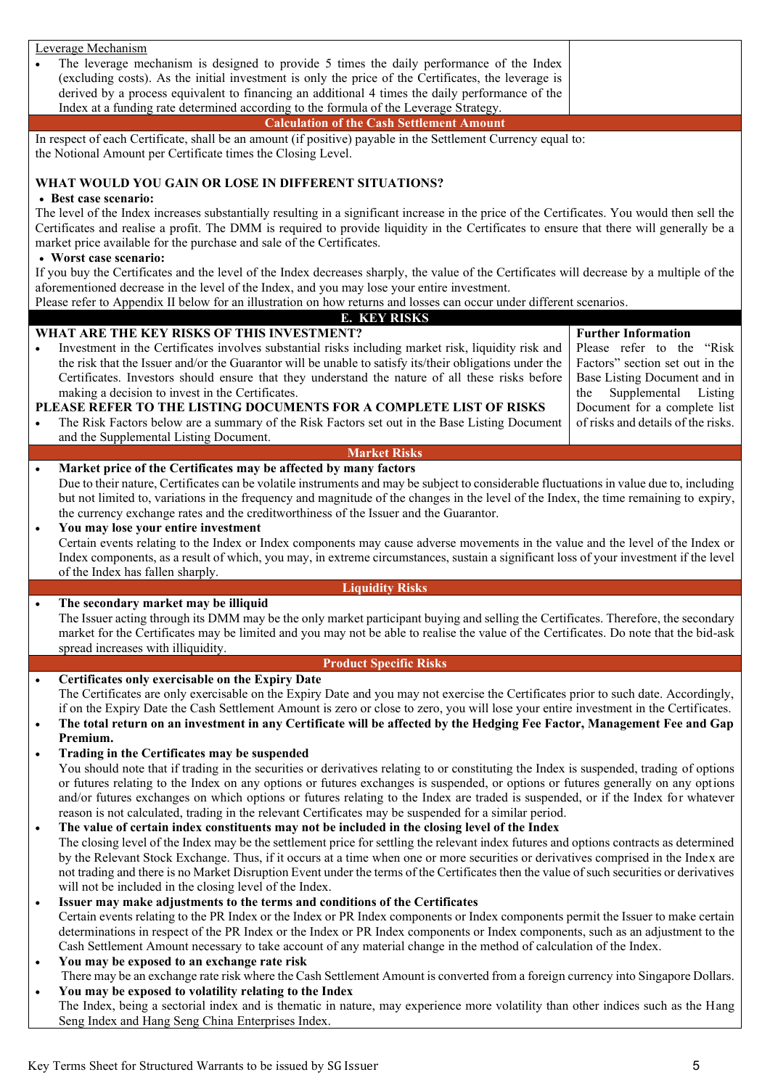|           | Leverage Mechanism                                                                                                                                                                                                                                                                                                                                                         |                                                                    |
|-----------|----------------------------------------------------------------------------------------------------------------------------------------------------------------------------------------------------------------------------------------------------------------------------------------------------------------------------------------------------------------------------|--------------------------------------------------------------------|
|           | The leverage mechanism is designed to provide 5 times the daily performance of the Index<br>(excluding costs). As the initial investment is only the price of the Certificates, the leverage is                                                                                                                                                                            |                                                                    |
|           | derived by a process equivalent to financing an additional 4 times the daily performance of the                                                                                                                                                                                                                                                                            |                                                                    |
|           | Index at a funding rate determined according to the formula of the Leverage Strategy.                                                                                                                                                                                                                                                                                      |                                                                    |
|           | <b>Calculation of the Cash Settlement Amount</b>                                                                                                                                                                                                                                                                                                                           |                                                                    |
|           | In respect of each Certificate, shall be an amount (if positive) payable in the Settlement Currency equal to:<br>the Notional Amount per Certificate times the Closing Level.                                                                                                                                                                                              |                                                                    |
|           | WHAT WOULD YOU GAIN OR LOSE IN DIFFERENT SITUATIONS?<br>• Best case scenario:                                                                                                                                                                                                                                                                                              |                                                                    |
|           | The level of the Index increases substantially resulting in a significant increase in the price of the Certificates. You would then sell the<br>Certificates and realise a profit. The DMM is required to provide liquidity in the Certificates to ensure that there will generally be a<br>market price available for the purchase and sale of the Certificates.          |                                                                    |
|           | • Worst case scenario:                                                                                                                                                                                                                                                                                                                                                     |                                                                    |
|           | If you buy the Certificates and the level of the Index decreases sharply, the value of the Certificates will decrease by a multiple of the<br>aforementioned decrease in the level of the Index, and you may lose your entire investment.                                                                                                                                  |                                                                    |
|           | Please refer to Appendix II below for an illustration on how returns and losses can occur under different scenarios.                                                                                                                                                                                                                                                       |                                                                    |
|           | <b>E. KEY RISKS</b><br>WHAT ARE THE KEY RISKS OF THIS INVESTMENT?                                                                                                                                                                                                                                                                                                          | <b>Further Information</b>                                         |
| $\bullet$ | Investment in the Certificates involves substantial risks including market risk, liquidity risk and<br>the risk that the Issuer and/or the Guarantor will be unable to satisfy its/their obligations under the                                                                                                                                                             | Please refer to the "Risk<br>Factors" section set out in the       |
|           | Certificates. Investors should ensure that they understand the nature of all these risks before<br>making a decision to invest in the Certificates.                                                                                                                                                                                                                        | Base Listing Document and in<br>Supplemental Listing<br>the        |
| $\bullet$ | PLEASE REFER TO THE LISTING DOCUMENTS FOR A COMPLETE LIST OF RISKS<br>The Risk Factors below are a summary of the Risk Factors set out in the Base Listing Document                                                                                                                                                                                                        | Document for a complete list<br>of risks and details of the risks. |
|           | and the Supplemental Listing Document.<br><b>Market Risks</b>                                                                                                                                                                                                                                                                                                              |                                                                    |
| $\bullet$ | Market price of the Certificates may be affected by many factors                                                                                                                                                                                                                                                                                                           |                                                                    |
|           | Due to their nature, Certificates can be volatile instruments and may be subject to considerable fluctuations in value due to, including<br>but not limited to, variations in the frequency and magnitude of the changes in the level of the Index, the time remaining to expiry,<br>the currency exchange rates and the creditworthiness of the Issuer and the Guarantor. |                                                                    |
| $\bullet$ | You may lose your entire investment                                                                                                                                                                                                                                                                                                                                        |                                                                    |
|           | Certain events relating to the Index or Index components may cause adverse movements in the value and the level of the Index or                                                                                                                                                                                                                                            |                                                                    |
|           | Index components, as a result of which, you may, in extreme circumstances, sustain a significant loss of your investment if the level<br>of the Index has fallen sharply.                                                                                                                                                                                                  |                                                                    |
|           | <b>Liquidity Risks</b>                                                                                                                                                                                                                                                                                                                                                     |                                                                    |
|           |                                                                                                                                                                                                                                                                                                                                                                            |                                                                    |
| $\bullet$ | The secondary market may be illiquid                                                                                                                                                                                                                                                                                                                                       |                                                                    |
|           | The Issuer acting through its DMM may be the only market participant buying and selling the Certificates. Therefore, the secondary                                                                                                                                                                                                                                         |                                                                    |
|           | market for the Certificates may be limited and you may not be able to realise the value of the Certificates. Do note that the bid-ask<br>spread increases with illiquidity.                                                                                                                                                                                                |                                                                    |
|           | <b>Product Specific Risks</b>                                                                                                                                                                                                                                                                                                                                              |                                                                    |
| $\bullet$ | Certificates only exercisable on the Expiry Date                                                                                                                                                                                                                                                                                                                           |                                                                    |
|           | The Certificates are only exercisable on the Expiry Date and you may not exercise the Certificates prior to such date. Accordingly,                                                                                                                                                                                                                                        |                                                                    |
| $\bullet$ | if on the Expiry Date the Cash Settlement Amount is zero or close to zero, you will lose your entire investment in the Certificates.<br>The total return on an investment in any Certificate will be affected by the Hedging Fee Factor, Management Fee and Gap<br>Premium.                                                                                                |                                                                    |
| $\bullet$ | Trading in the Certificates may be suspended                                                                                                                                                                                                                                                                                                                               |                                                                    |
|           | You should note that if trading in the securities or derivatives relating to or constituting the Index is suspended, trading of options                                                                                                                                                                                                                                    |                                                                    |
|           | or futures relating to the Index on any options or futures exchanges is suspended, or options or futures generally on any options<br>and/or futures exchanges on which options or futures relating to the Index are traded is suspended, or if the Index for whatever                                                                                                      |                                                                    |
|           | reason is not calculated, trading in the relevant Certificates may be suspended for a similar period.                                                                                                                                                                                                                                                                      |                                                                    |
| $\bullet$ | The value of certain index constituents may not be included in the closing level of the Index                                                                                                                                                                                                                                                                              |                                                                    |
|           | The closing level of the Index may be the settlement price for settling the relevant index futures and options contracts as determined<br>by the Relevant Stock Exchange. Thus, if it occurs at a time when one or more securities or derivatives comprised in the Index are                                                                                               |                                                                    |
|           | not trading and there is no Market Disruption Event under the terms of the Certificates then the value of such securities or derivatives                                                                                                                                                                                                                                   |                                                                    |
| $\bullet$ | will not be included in the closing level of the Index.                                                                                                                                                                                                                                                                                                                    |                                                                    |
|           | Issuer may make adjustments to the terms and conditions of the Certificates<br>Certain events relating to the PR Index or the Index or PR Index components or Index components permit the Issuer to make certain                                                                                                                                                           |                                                                    |
|           | determinations in respect of the PR Index or the Index or PR Index components or Index components, such as an adjustment to the<br>Cash Settlement Amount necessary to take account of any material change in the method of calculation of the Index.                                                                                                                      |                                                                    |
| $\bullet$ | You may be exposed to an exchange rate risk                                                                                                                                                                                                                                                                                                                                |                                                                    |
|           | There may be an exchange rate risk where the Cash Settlement Amount is converted from a foreign currency into Singapore Dollars.                                                                                                                                                                                                                                           |                                                                    |
| $\bullet$ | You may be exposed to volatility relating to the Index<br>The Index, being a sectorial index and is thematic in nature, may experience more volatility than other indices such as the Hang<br>Seng Index and Hang Seng China Enterprises Index.                                                                                                                            |                                                                    |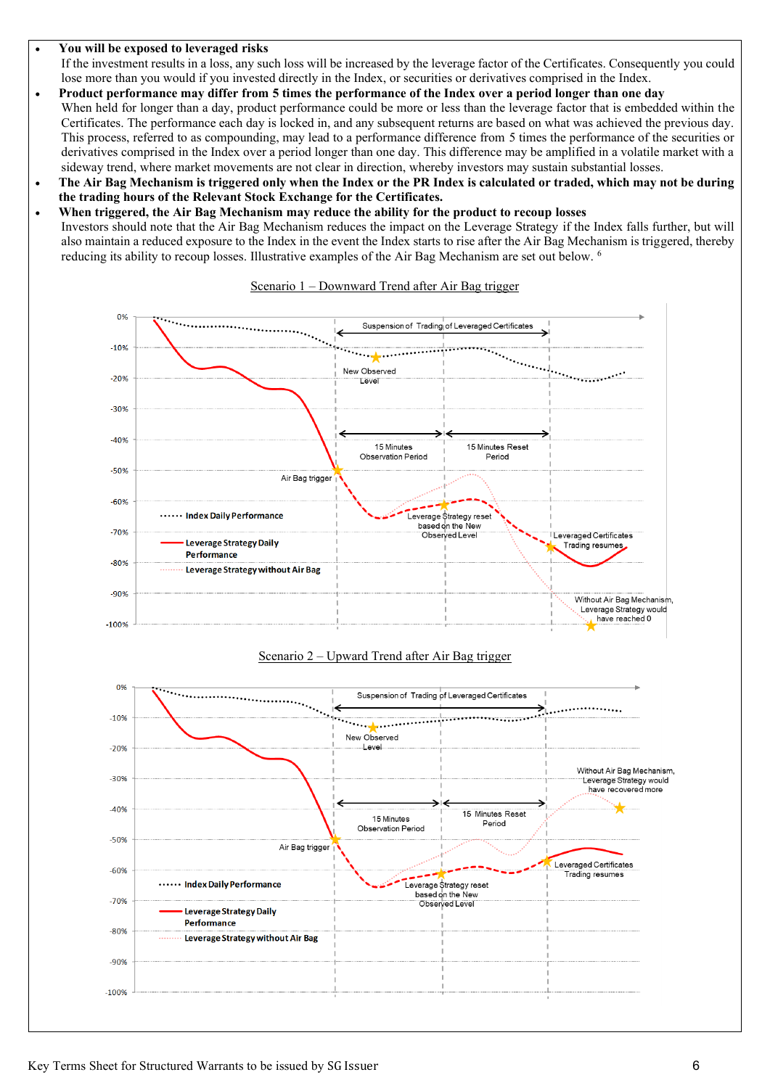#### • **You will be exposed to leveraged risks**

If the investment results in a loss, any such loss will be increased by the leverage factor of the Certificates. Consequently you could lose more than you would if you invested directly in the Index, or securities or derivatives comprised in the Index.

- **Product performance may differ from 5 times the performance of the Index over a period longer than one day** When held for longer than a day, product performance could be more or less than the leverage factor that is embedded within the Certificates. The performance each day is locked in, and any subsequent returns are based on what was achieved the previous day. This process, referred to as compounding, may lead to a performance difference from 5 times the performance of the securities or derivatives comprised in the Index over a period longer than one day. This difference may be amplified in a volatile market with a sideway trend, where market movements are not clear in direction, whereby investors may sustain substantial losses.
- **The Air Bag Mechanism is triggered only when the Index or the PR Index is calculated or traded, which may not be during the trading hours of the Relevant Stock Exchange for the Certificates.**
- **When triggered, the Air Bag Mechanism may reduce the ability for the product to recoup losses**

Investors should note that the Air Bag Mechanism reduces the impact on the Leverage Strategy if the Index falls further, but will also maintain a reduced exposure to the Index in the event the Index starts to rise after the Air Bag Mechanism is triggered, thereby reducing its ability to recoup losses. Illustrative examples of the Air Bag Mechanism are set out below. <sup>6</sup>



#### Scenario 1 – Downward Trend after Air Bag trigger



## Scenario 2 – Upward Trend after Air Bag trigger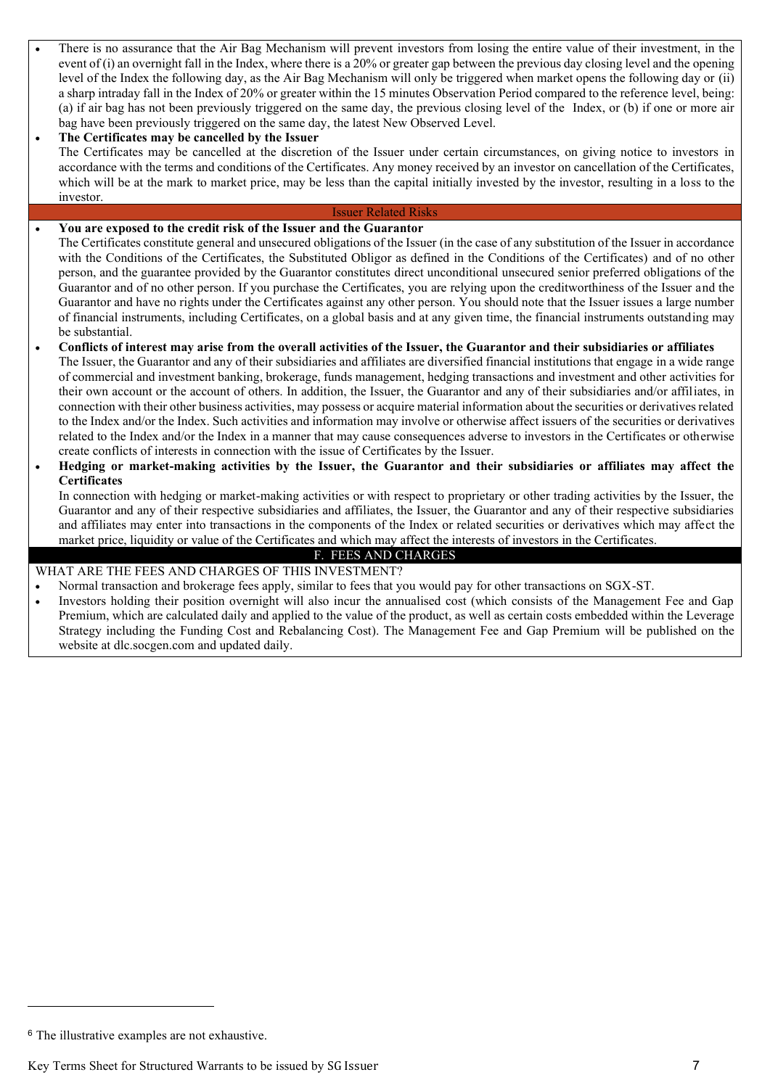- There is no assurance that the Air Bag Mechanism will prevent investors from losing the entire value of their investment, in the event of (i) an overnight fall in the Index, where there is a 20% or greater gap between the previous day closing level and the opening level of the Index the following day, as the Air Bag Mechanism will only be triggered when market opens the following day or (ii) a sharp intraday fall in the Index of 20% or greater within the 15 minutes Observation Period compared to the reference level, being: (a) if air bag has not been previously triggered on the same day, the previous closing level of the Index, or (b) if one or more air bag have been previously triggered on the same day, the latest New Observed Level.
- **The Certificates may be cancelled by the Issuer** The Certificates may be cancelled at the discretion of the Issuer under certain circumstances, on giving notice to investors in accordance with the terms and conditions of the Certificates. Any money received by an investor on cancellation of the Certificates, which will be at the mark to market price, may be less than the capital initially invested by the investor, resulting in a loss to the investor.

#### Issuer Related Risks

#### • **You are exposed to the credit risk of the Issuer and the Guarantor**

The Certificates constitute general and unsecured obligations of the Issuer (in the case of any substitution of the Issuer in accordance with the Conditions of the Certificates, the Substituted Obligor as defined in the Conditions of the Certificates) and of no other person, and the guarantee provided by the Guarantor constitutes direct unconditional unsecured senior preferred obligations of the Guarantor and of no other person. If you purchase the Certificates, you are relying upon the creditworthiness of the Issuer and the Guarantor and have no rights under the Certificates against any other person. You should note that the Issuer issues a large number of financial instruments, including Certificates, on a global basis and at any given time, the financial instruments outstanding may be substantial.

• **Conflicts of interest may arise from the overall activities of the Issuer, the Guarantor and their subsidiaries or affiliates** The Issuer, the Guarantor and any of their subsidiaries and affiliates are diversified financial institutions that engage in a wide range of commercial and investment banking, brokerage, funds management, hedging transactions and investment and other activities for their own account or the account of others. In addition, the Issuer, the Guarantor and any of their subsidiaries and/or affiliates, in connection with their other business activities, may possess or acquire material information about the securities or derivatives related to the Index and/or the Index. Such activities and information may involve or otherwise affect issuers of the securities or derivatives related to the Index and/or the Index in a manner that may cause consequences adverse to investors in the Certificates or otherwise create conflicts of interests in connection with the issue of Certificates by the Issuer.

### • **Hedging or market-making activities by the Issuer, the Guarantor and their subsidiaries or affiliates may affect the Certificates**

In connection with hedging or market-making activities or with respect to proprietary or other trading activities by the Issuer, the Guarantor and any of their respective subsidiaries and affiliates, the Issuer, the Guarantor and any of their respective subsidiaries and affiliates may enter into transactions in the components of the Index or related securities or derivatives which may affect the market price, liquidity or value of the Certificates and which may affect the interests of investors in the Certificates.

#### F. FEES AND CHARGES

#### WHAT ARE THE FEES AND CHARGES OF THIS INVESTMENT?

- Normal transaction and brokerage fees apply, similar to fees that you would pay for other transactions on SGX-ST.
- Investors holding their position overnight will also incur the annualised cost (which consists of the Management Fee and Gap Premium, which are calculated daily and applied to the value of the product, as well as certain costs embedded within the Leverage Strategy including the Funding Cost and Rebalancing Cost). The Management Fee and Gap Premium will be published on the website at [dlc.socgen.com](http://www.dlc.socgen.com/) and updated daily.

<sup>6</sup> The illustrative examples are not exhaustive.

Key Terms Sheet for Structured Warrants to be issued by SG Issuer 7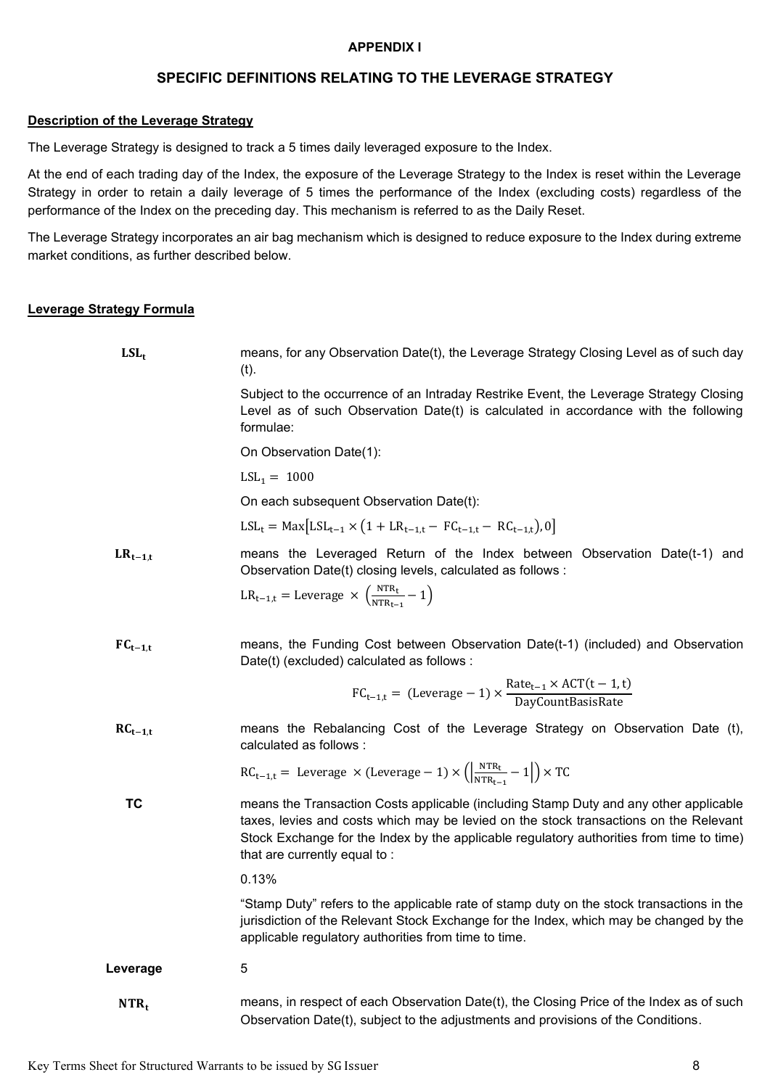## **APPENDIX I**

# **SPECIFIC DEFINITIONS RELATING TO THE LEVERAGE STRATEGY**

#### **Description of the Leverage Strategy**

The Leverage Strategy is designed to track a 5 times daily leveraged exposure to the Index.

At the end of each trading day of the Index, the exposure of the Leverage Strategy to the Index is reset within the Leverage Strategy in order to retain a daily leverage of 5 times the performance of the Index (excluding costs) regardless of the performance of the Index on the preceding day. This mechanism is referred to as the Daily Reset.

The Leverage Strategy incorporates an air bag mechanism which is designed to reduce exposure to the Index during extreme market conditions, as further described below.

## **Leverage Strategy Formula**

| $LSL_t$      | means, for any Observation Date(t), the Leverage Strategy Closing Level as of such day<br>$(t)$ .                                                                                                                                                                                                          |
|--------------|------------------------------------------------------------------------------------------------------------------------------------------------------------------------------------------------------------------------------------------------------------------------------------------------------------|
|              | Subject to the occurrence of an Intraday Restrike Event, the Leverage Strategy Closing<br>Level as of such Observation Date(t) is calculated in accordance with the following<br>formulae:                                                                                                                 |
|              | On Observation Date(1):                                                                                                                                                                                                                                                                                    |
|              | $LSL_1 = 1000$                                                                                                                                                                                                                                                                                             |
|              | On each subsequent Observation Date(t):                                                                                                                                                                                                                                                                    |
|              | $LSL_t = Max[LSL_{t-1} \times (1 + LR_{t-1,t} - FC_{t-1,t} - RC_{t-1,t}), 0]$                                                                                                                                                                                                                              |
| $LR_{t-1,t}$ | means the Leveraged Return of the Index between Observation Date(t-1) and<br>Observation Date(t) closing levels, calculated as follows :                                                                                                                                                                   |
|              | $LR_{t-1,t}$ = Leverage $\times \left(\frac{NTR_t}{NTR_{t-1}} - 1\right)$                                                                                                                                                                                                                                  |
| $FC_{t-1,t}$ | means, the Funding Cost between Observation Date(t-1) (included) and Observation<br>Date(t) (excluded) calculated as follows :                                                                                                                                                                             |
|              | $FC_{t-1,t}$ = (Leverage - 1) $\times \frac{\text{Rate}_{t-1} \times \text{ACT}(t-1,t)}{\text{DavidBasisRate}}$                                                                                                                                                                                            |
| $RC_{t-1,t}$ | means the Rebalancing Cost of the Leverage Strategy on Observation Date (t),<br>calculated as follows :                                                                                                                                                                                                    |
|              | $RC_{t-1,t}$ = Leverage $\times$ (Leverage – 1) $\times \left(\frac{NTR_t}{NTR_{t-1}} - 1\right) \times TC$                                                                                                                                                                                                |
| <b>TC</b>    | means the Transaction Costs applicable (including Stamp Duty and any other applicable<br>taxes, levies and costs which may be levied on the stock transactions on the Relevant<br>Stock Exchange for the Index by the applicable regulatory authorities from time to time)<br>that are currently equal to: |
|              | 0.13%                                                                                                                                                                                                                                                                                                      |
|              | "Stamp Duty" refers to the applicable rate of stamp duty on the stock transactions in the<br>jurisdiction of the Relevant Stock Exchange for the Index, which may be changed by the<br>applicable regulatory authorities from time to time.                                                                |
| Leverage     | 5                                                                                                                                                                                                                                                                                                          |
| $NTR_t$      | means, in respect of each Observation Date(t), the Closing Price of the Index as of such<br>Observation Date(t), subject to the adjustments and provisions of the Conditions.                                                                                                                              |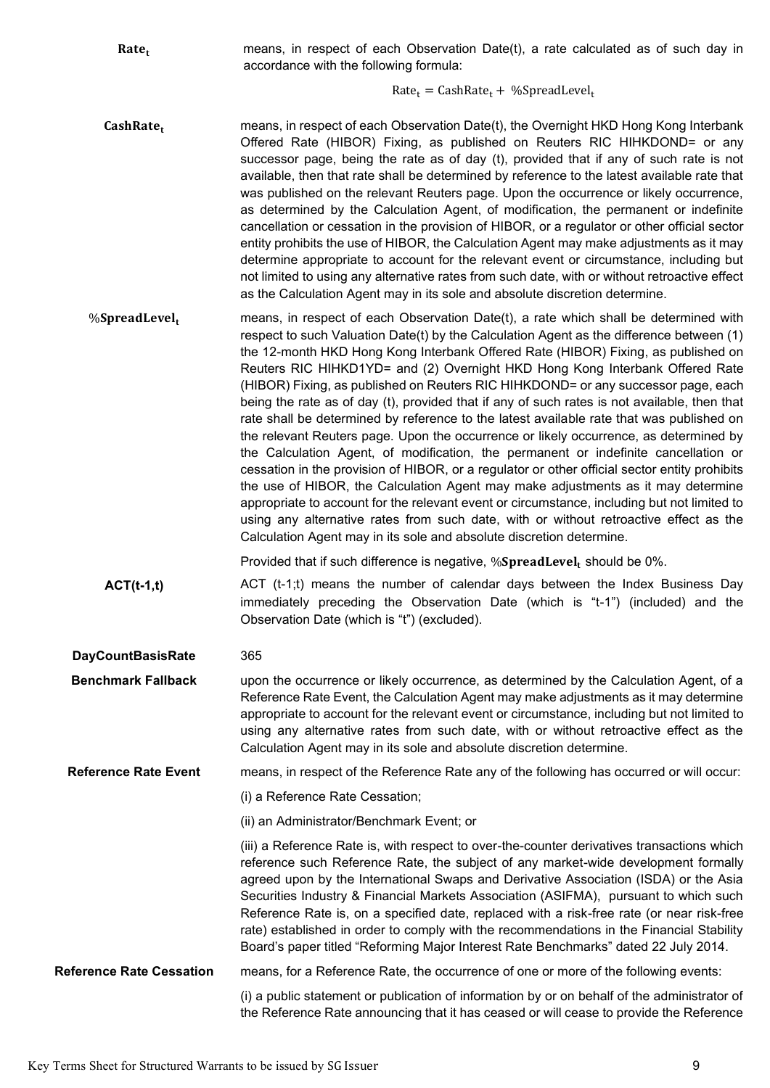| Rate <sub>t</sub>               | means, in respect of each Observation Date(t), a rate calculated as of such day in<br>accordance with the following formula:                                                                                                                                                                                                                                                                                                                                                                                                                                                                                                                                                                                                                                                                                                                                                                                                                                                                                                                                                                                                                                                                                                                                                |
|---------------------------------|-----------------------------------------------------------------------------------------------------------------------------------------------------------------------------------------------------------------------------------------------------------------------------------------------------------------------------------------------------------------------------------------------------------------------------------------------------------------------------------------------------------------------------------------------------------------------------------------------------------------------------------------------------------------------------------------------------------------------------------------------------------------------------------------------------------------------------------------------------------------------------------------------------------------------------------------------------------------------------------------------------------------------------------------------------------------------------------------------------------------------------------------------------------------------------------------------------------------------------------------------------------------------------|
|                                 | $Rate_t = CashRate_t + %SpreadLevel_t$                                                                                                                                                                                                                                                                                                                                                                                                                                                                                                                                                                                                                                                                                                                                                                                                                                                                                                                                                                                                                                                                                                                                                                                                                                      |
| CashRatet                       | means, in respect of each Observation Date(t), the Overnight HKD Hong Kong Interbank<br>Offered Rate (HIBOR) Fixing, as published on Reuters RIC HIHKDOND= or any<br>successor page, being the rate as of day (t), provided that if any of such rate is not<br>available, then that rate shall be determined by reference to the latest available rate that<br>was published on the relevant Reuters page. Upon the occurrence or likely occurrence,<br>as determined by the Calculation Agent, of modification, the permanent or indefinite<br>cancellation or cessation in the provision of HIBOR, or a regulator or other official sector<br>entity prohibits the use of HIBOR, the Calculation Agent may make adjustments as it may<br>determine appropriate to account for the relevant event or circumstance, including but<br>not limited to using any alternative rates from such date, with or without retroactive effect<br>as the Calculation Agent may in its sole and absolute discretion determine.                                                                                                                                                                                                                                                           |
| %SpreadLevel <sub>t</sub>       | means, in respect of each Observation Date(t), a rate which shall be determined with<br>respect to such Valuation Date(t) by the Calculation Agent as the difference between (1)<br>the 12-month HKD Hong Kong Interbank Offered Rate (HIBOR) Fixing, as published on<br>Reuters RIC HIHKD1YD= and (2) Overnight HKD Hong Kong Interbank Offered Rate<br>(HIBOR) Fixing, as published on Reuters RIC HIHKDOND= or any successor page, each<br>being the rate as of day (t), provided that if any of such rates is not available, then that<br>rate shall be determined by reference to the latest available rate that was published on<br>the relevant Reuters page. Upon the occurrence or likely occurrence, as determined by<br>the Calculation Agent, of modification, the permanent or indefinite cancellation or<br>cessation in the provision of HIBOR, or a regulator or other official sector entity prohibits<br>the use of HIBOR, the Calculation Agent may make adjustments as it may determine<br>appropriate to account for the relevant event or circumstance, including but not limited to<br>using any alternative rates from such date, with or without retroactive effect as the<br>Calculation Agent may in its sole and absolute discretion determine. |
|                                 | Provided that if such difference is negative, %SpreadLevel, should be 0%.                                                                                                                                                                                                                                                                                                                                                                                                                                                                                                                                                                                                                                                                                                                                                                                                                                                                                                                                                                                                                                                                                                                                                                                                   |
| $ACT(t-1,t)$                    | ACT (t-1;t) means the number of calendar days between the Index Business Day<br>immediately preceding the Observation Date (which is "t-1") (included) and the<br>Observation Date (which is "t") (excluded).                                                                                                                                                                                                                                                                                                                                                                                                                                                                                                                                                                                                                                                                                                                                                                                                                                                                                                                                                                                                                                                               |
| <b>DayCountBasisRate</b>        | 365                                                                                                                                                                                                                                                                                                                                                                                                                                                                                                                                                                                                                                                                                                                                                                                                                                                                                                                                                                                                                                                                                                                                                                                                                                                                         |
| <b>Benchmark Fallback</b>       | upon the occurrence or likely occurrence, as determined by the Calculation Agent, of a<br>Reference Rate Event, the Calculation Agent may make adjustments as it may determine<br>appropriate to account for the relevant event or circumstance, including but not limited to<br>using any alternative rates from such date, with or without retroactive effect as the<br>Calculation Agent may in its sole and absolute discretion determine.                                                                                                                                                                                                                                                                                                                                                                                                                                                                                                                                                                                                                                                                                                                                                                                                                              |
| <b>Reference Rate Event</b>     | means, in respect of the Reference Rate any of the following has occurred or will occur:                                                                                                                                                                                                                                                                                                                                                                                                                                                                                                                                                                                                                                                                                                                                                                                                                                                                                                                                                                                                                                                                                                                                                                                    |
|                                 | (i) a Reference Rate Cessation;                                                                                                                                                                                                                                                                                                                                                                                                                                                                                                                                                                                                                                                                                                                                                                                                                                                                                                                                                                                                                                                                                                                                                                                                                                             |
|                                 | (ii) an Administrator/Benchmark Event; or                                                                                                                                                                                                                                                                                                                                                                                                                                                                                                                                                                                                                                                                                                                                                                                                                                                                                                                                                                                                                                                                                                                                                                                                                                   |
|                                 | (iii) a Reference Rate is, with respect to over-the-counter derivatives transactions which<br>reference such Reference Rate, the subject of any market-wide development formally<br>agreed upon by the International Swaps and Derivative Association (ISDA) or the Asia<br>Securities Industry & Financial Markets Association (ASIFMA), pursuant to which such<br>Reference Rate is, on a specified date, replaced with a risk-free rate (or near risk-free<br>rate) established in order to comply with the recommendations in the Financial Stability<br>Board's paper titled "Reforming Major Interest Rate Benchmarks" dated 22 July 2014.                                                                                                                                                                                                                                                                                                                                                                                                                                                                                                                                                                                                                            |
| <b>Reference Rate Cessation</b> | means, for a Reference Rate, the occurrence of one or more of the following events:                                                                                                                                                                                                                                                                                                                                                                                                                                                                                                                                                                                                                                                                                                                                                                                                                                                                                                                                                                                                                                                                                                                                                                                         |
|                                 | (i) a public statement or publication of information by or on behalf of the administrator of<br>the Reference Rate announcing that it has ceased or will cease to provide the Reference                                                                                                                                                                                                                                                                                                                                                                                                                                                                                                                                                                                                                                                                                                                                                                                                                                                                                                                                                                                                                                                                                     |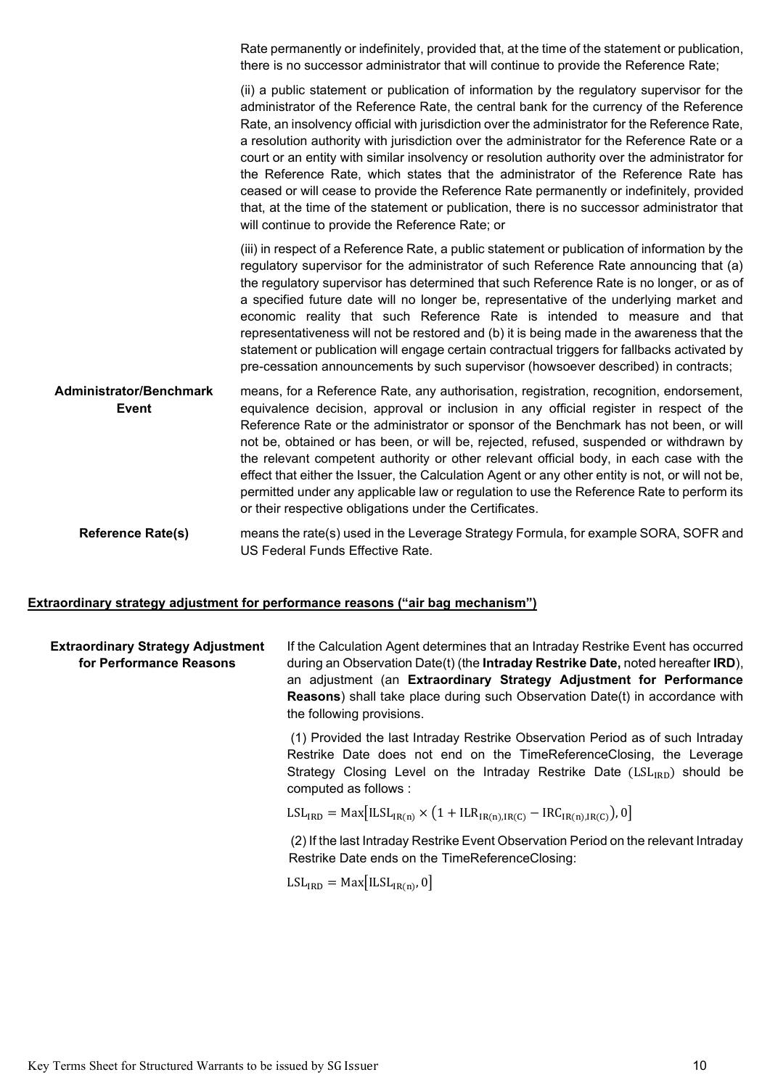Rate permanently or indefinitely, provided that, at the time of the statement or publication, there is no successor administrator that will continue to provide the Reference Rate;

(ii) a public statement or publication of information by the regulatory supervisor for the administrator of the Reference Rate, the central bank for the currency of the Reference Rate, an insolvency official with jurisdiction over the administrator for the Reference Rate, a resolution authority with jurisdiction over the administrator for the Reference Rate or a court or an entity with similar insolvency or resolution authority over the administrator for the Reference Rate, which states that the administrator of the Reference Rate has ceased or will cease to provide the Reference Rate permanently or indefinitely, provided that, at the time of the statement or publication, there is no successor administrator that will continue to provide the Reference Rate; or

(iii) in respect of a Reference Rate, a public statement or publication of information by the regulatory supervisor for the administrator of such Reference Rate announcing that (a) the regulatory supervisor has determined that such Reference Rate is no longer, or as of a specified future date will no longer be, representative of the underlying market and economic reality that such Reference Rate is intended to measure and that representativeness will not be restored and (b) it is being made in the awareness that the statement or publication will engage certain contractual triggers for fallbacks activated by pre-cessation announcements by such supervisor (howsoever described) in contracts;

**Administrator/Benchmark Event** means, for a Reference Rate, any authorisation, registration, recognition, endorsement, equivalence decision, approval or inclusion in any official register in respect of the Reference Rate or the administrator or sponsor of the Benchmark has not been, or will not be, obtained or has been, or will be, rejected, refused, suspended or withdrawn by the relevant competent authority or other relevant official body, in each case with the effect that either the Issuer, the Calculation Agent or any other entity is not, or will not be, permitted under any applicable law or regulation to use the Reference Rate to perform its or their respective obligations under the Certificates.

**Reference Rate(s)** means the rate(s) used in the Leverage Strategy Formula, for example SORA, SOFR and US Federal Funds Effective Rate.

#### **Extraordinary strategy adjustment for performance reasons ("air bag mechanism")**

| <b>Extraordinary Strategy Adjustment</b><br>for Performance Reasons | If the Calculation Agent determines that an Intraday Restrike Event has occurred<br>during an Observation Date(t) (the <b>Intraday Restrike Date</b> , noted hereafter <b>IRD</b> ),<br>an adjustment (an Extraordinary Strategy Adjustment for Performance<br><b>Reasons</b> ) shall take place during such Observation Date(t) in accordance with<br>the following provisions. |
|---------------------------------------------------------------------|----------------------------------------------------------------------------------------------------------------------------------------------------------------------------------------------------------------------------------------------------------------------------------------------------------------------------------------------------------------------------------|
|                                                                     | (1) Provided the last Intraday Restrike Observation Period as of such Intraday<br>Restrike Date does not end on the TimeReferenceClosing, the Leverage<br>Strategy Closing Level on the Intraday Restrike Date $(LSL_{RD})$ should be<br>computed as follows :                                                                                                                   |
|                                                                     | $LSLIRD = Max[ILSLIR(n) × (1 + ILRIR(n)IR(C) - IRCIR(n)IR(C)), 0]$                                                                                                                                                                                                                                                                                                               |
|                                                                     | (2) If the last Intraday Restrike Event Observation Period on the relevant Intraday<br>Restrike Date ends on the TimeReferenceClosing:                                                                                                                                                                                                                                           |
|                                                                     | $LSL_{IRD} = Max[ILSL_{IR(n)}, 0]$                                                                                                                                                                                                                                                                                                                                               |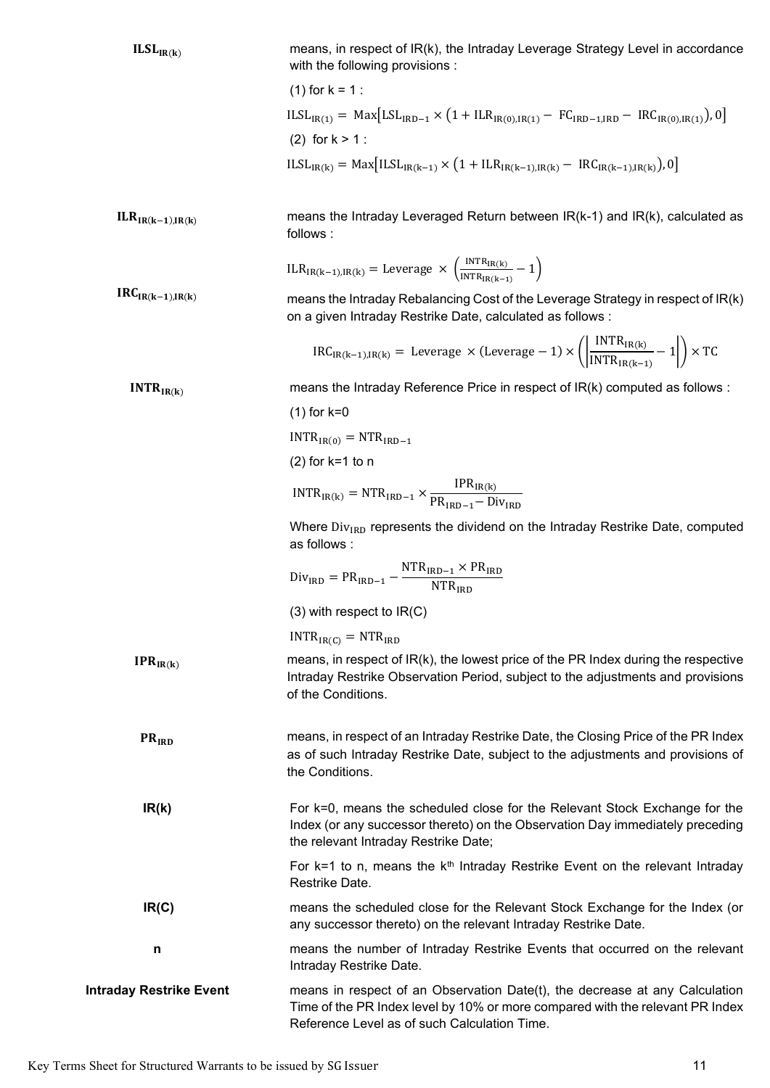| ILSL <sub>IR(k)</sub>          | means, in respect of IR(k), the Intraday Leverage Strategy Level in accordance<br>with the following provisions :                                                                                                   |  |  |  |
|--------------------------------|---------------------------------------------------------------------------------------------------------------------------------------------------------------------------------------------------------------------|--|--|--|
|                                |                                                                                                                                                                                                                     |  |  |  |
|                                | $(1)$ for $k = 1$ :                                                                                                                                                                                                 |  |  |  |
|                                | $ILSL_{IR(1)} = Max [LSL_{IRD-1} \times (1 + ILR_{IR(0),IR(1)} - FC_{IRD-1,IRD} - IRC_{IR(0),IR(1)}), 0]$                                                                                                           |  |  |  |
|                                | (2) for $k > 1$ :                                                                                                                                                                                                   |  |  |  |
|                                | $ILSL_{IR(k)} = Max[ILSL_{IR(k-1)} \times (1 + ILR_{IR(k-1),IR(k)} - IRC_{IR(k-1),IR(k)}),0]$                                                                                                                       |  |  |  |
| $ILRIR(k-1),IR(k)$             | means the Intraday Leveraged Return between $IR(k-1)$ and $IR(k)$ , calculated as<br>follows:                                                                                                                       |  |  |  |
|                                | $ILR_{IR(k-1),IR(k)} = \text{Leverage} \times \left(\frac{INTR_{IR(k)}}{INTR_{IR(k-1)}} - 1\right)$                                                                                                                 |  |  |  |
| $IRC_{IR(k-1),IR(k)}$          | means the Intraday Rebalancing Cost of the Leverage Strategy in respect of IR(k)<br>on a given Intraday Restrike Date, calculated as follows :                                                                      |  |  |  |
|                                | $\text{IRC}_{\text{IR}(k-1),\text{IR}(k)} = \text{Leverage} \times (\text{Leverage} - 1) \times \left( \left  \frac{\text{INTR}_{\text{IR}(k)}}{\text{INTR}_{\text{IR}(k-1)}} - 1 \right  \right) \times \text{TC}$ |  |  |  |
| INTR <sub>IR(k)</sub>          | means the Intraday Reference Price in respect of IR(k) computed as follows :                                                                                                                                        |  |  |  |
|                                | $(1)$ for k=0                                                                                                                                                                                                       |  |  |  |
|                                | $INTRIR(0) = NTRIRD-1$                                                                                                                                                                                              |  |  |  |
|                                | $(2)$ for k=1 to n                                                                                                                                                                                                  |  |  |  |
|                                | $\text{INTER}_{\text{IR}(k)} = \text{NTR}_{\text{IRD}-1} \times \frac{\text{IPR}_{\text{IR}(k)}}{\text{PR}_{\text{IRD}-1} - \text{Div}_{\text{IRD}}}$                                                               |  |  |  |
|                                | Where Div <sub>IRD</sub> represents the dividend on the Intraday Restrike Date, computed<br>as follows :                                                                                                            |  |  |  |
|                                | $DivIRD = PRIRD-1 - \frac{NTRIRD-1 × PRIRD}{NTRIRD}$                                                                                                                                                                |  |  |  |
|                                | $(3)$ with respect to $IR(C)$                                                                                                                                                                                       |  |  |  |
|                                | $INTRIR(C) = NTRIRD$                                                                                                                                                                                                |  |  |  |
| $IPR_{IR(k)}$                  | means, in respect of IR(k), the lowest price of the PR Index during the respective<br>Intraday Restrike Observation Period, subject to the adjustments and provisions<br>of the Conditions.                         |  |  |  |
| $PR_{IRD}$                     | means, in respect of an Intraday Restrike Date, the Closing Price of the PR Index<br>as of such Intraday Restrike Date, subject to the adjustments and provisions of<br>the Conditions.                             |  |  |  |
| IR(k)                          | For k=0, means the scheduled close for the Relevant Stock Exchange for the<br>Index (or any successor thereto) on the Observation Day immediately preceding<br>the relevant Intraday Restrike Date;                 |  |  |  |
|                                | For $k=1$ to n, means the $kth$ Intraday Restrike Event on the relevant Intraday<br>Restrike Date.                                                                                                                  |  |  |  |
| IR(C)                          | means the scheduled close for the Relevant Stock Exchange for the Index (or<br>any successor thereto) on the relevant Intraday Restrike Date.                                                                       |  |  |  |
| n                              | means the number of Intraday Restrike Events that occurred on the relevant<br>Intraday Restrike Date.                                                                                                               |  |  |  |
| <b>Intraday Restrike Event</b> | means in respect of an Observation Date(t), the decrease at any Calculation<br>Time of the PR Index level by 10% or more compared with the relevant PR Index<br>Reference Level as of such Calculation Time.        |  |  |  |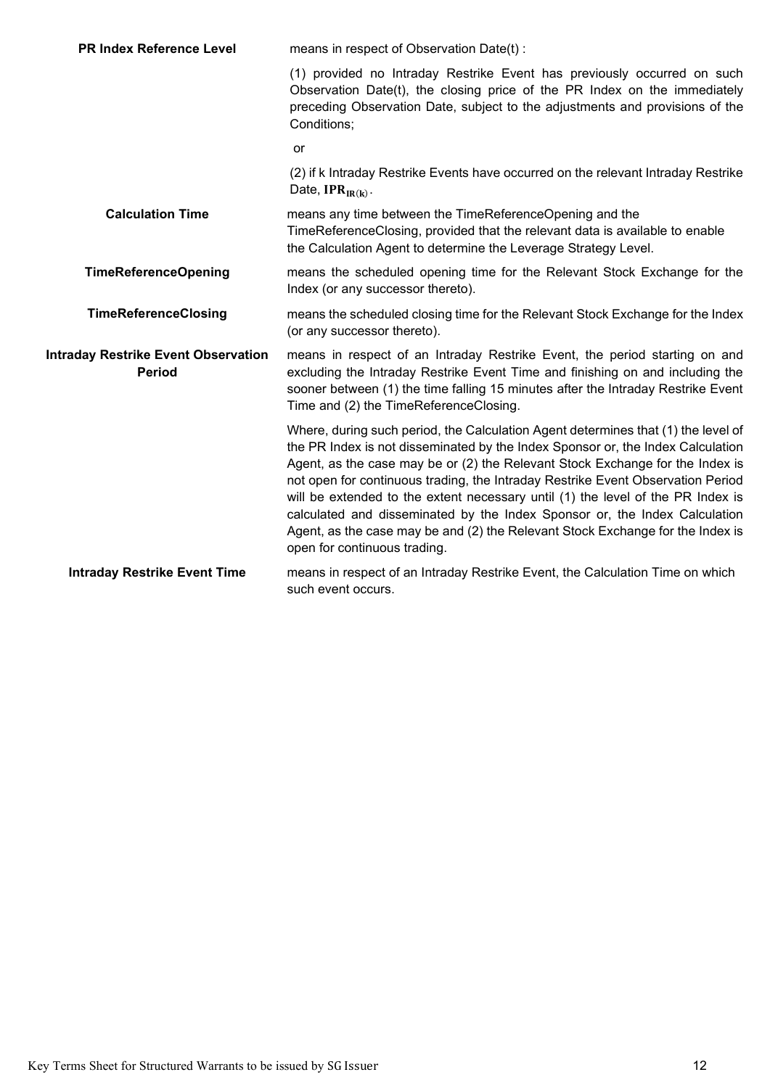| <b>PR Index Reference Level</b>                             | means in respect of Observation Date(t):                                                                                                                                                                                                                                                                                                                                                                                                                                                                                                                                                                                    |  |  |
|-------------------------------------------------------------|-----------------------------------------------------------------------------------------------------------------------------------------------------------------------------------------------------------------------------------------------------------------------------------------------------------------------------------------------------------------------------------------------------------------------------------------------------------------------------------------------------------------------------------------------------------------------------------------------------------------------------|--|--|
|                                                             | (1) provided no Intraday Restrike Event has previously occurred on such<br>Observation Date(t), the closing price of the PR Index on the immediately<br>preceding Observation Date, subject to the adjustments and provisions of the<br>Conditions;                                                                                                                                                                                                                                                                                                                                                                         |  |  |
|                                                             | or                                                                                                                                                                                                                                                                                                                                                                                                                                                                                                                                                                                                                          |  |  |
|                                                             | (2) if k Intraday Restrike Events have occurred on the relevant Intraday Restrike<br>Date, $IPR_{IR(k)}$ .                                                                                                                                                                                                                                                                                                                                                                                                                                                                                                                  |  |  |
| <b>Calculation Time</b>                                     | means any time between the TimeReferenceOpening and the<br>TimeReferenceClosing, provided that the relevant data is available to enable<br>the Calculation Agent to determine the Leverage Strategy Level.                                                                                                                                                                                                                                                                                                                                                                                                                  |  |  |
| <b>TimeReferenceOpening</b>                                 | means the scheduled opening time for the Relevant Stock Exchange for the<br>Index (or any successor thereto).                                                                                                                                                                                                                                                                                                                                                                                                                                                                                                               |  |  |
| <b>TimeReferenceClosing</b>                                 | means the scheduled closing time for the Relevant Stock Exchange for the Index<br>(or any successor thereto).                                                                                                                                                                                                                                                                                                                                                                                                                                                                                                               |  |  |
| <b>Intraday Restrike Event Observation</b><br><b>Period</b> | means in respect of an Intraday Restrike Event, the period starting on and<br>excluding the Intraday Restrike Event Time and finishing on and including the<br>sooner between (1) the time falling 15 minutes after the Intraday Restrike Event<br>Time and (2) the TimeReferenceClosing.                                                                                                                                                                                                                                                                                                                                   |  |  |
|                                                             | Where, during such period, the Calculation Agent determines that (1) the level of<br>the PR Index is not disseminated by the Index Sponsor or, the Index Calculation<br>Agent, as the case may be or (2) the Relevant Stock Exchange for the Index is<br>not open for continuous trading, the Intraday Restrike Event Observation Period<br>will be extended to the extent necessary until (1) the level of the PR Index is<br>calculated and disseminated by the Index Sponsor or, the Index Calculation<br>Agent, as the case may be and (2) the Relevant Stock Exchange for the Index is<br>open for continuous trading. |  |  |
| <b>Intraday Restrike Event Time</b>                         | means in respect of an Intraday Restrike Event, the Calculation Time on which<br>such event occurs.                                                                                                                                                                                                                                                                                                                                                                                                                                                                                                                         |  |  |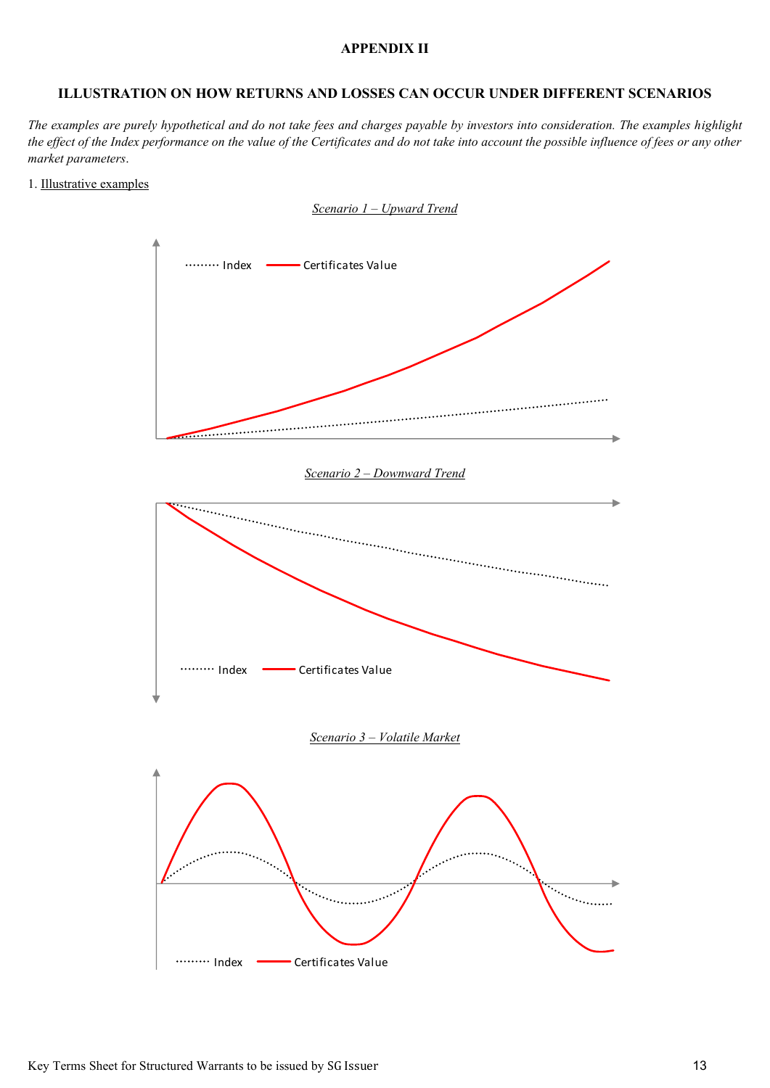## **APPENDIX II**

## **ILLUSTRATION ON HOW RETURNS AND LOSSES CAN OCCUR UNDER DIFFERENT SCENARIOS**

*The examples are purely hypothetical and do not take fees and charges payable by investors into consideration. The examples highlight the effect of the Index performance on the value of the Certificates and do not take into account the possible influence of fees or any other market parameters*.

#### 1. Illustrative examples

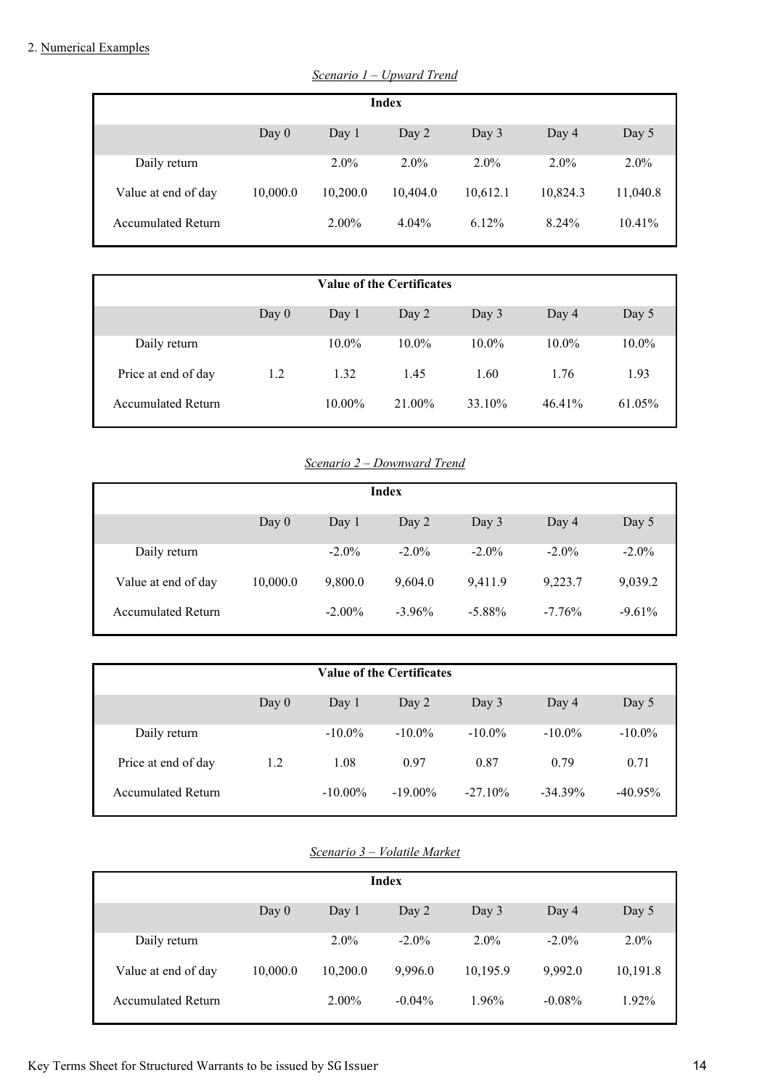## 2. Numerical Examples

| <b>Index</b>              |          |          |          |          |          |          |
|---------------------------|----------|----------|----------|----------|----------|----------|
|                           | Day $0$  | Day 1    | Day 2    | Day 3    | Day 4    | Day 5    |
|                           |          |          |          |          |          |          |
| Daily return              |          | $2.0\%$  | $2.0\%$  | $2.0\%$  | $2.0\%$  | $2.0\%$  |
|                           |          |          |          |          |          |          |
| Value at end of day       | 10,000.0 | 10,200.0 | 10,404.0 | 10,612.1 | 10,824.3 | 11,040.8 |
| <b>Accumulated Return</b> |          | $2.00\%$ | 4.04%    | $6.12\%$ | 8.24%    | 10.41%   |
|                           |          |          |          |          |          |          |

*Scenario 1 – Upward Trend*

| <b>Value of the Certificates</b> |         |           |          |          |          |          |  |
|----------------------------------|---------|-----------|----------|----------|----------|----------|--|
|                                  | Day $0$ | Day 1     | Day $2$  | Day $3$  | Day $4$  | Day 5    |  |
| Daily return                     |         | $10.0\%$  | $10.0\%$ | $10.0\%$ | $10.0\%$ | $10.0\%$ |  |
| Price at end of day              | 1.2     | 1.32      | 1.45     | 1.60     | 1.76     | 1.93     |  |
| <b>Accumulated Return</b>        |         | $10.00\%$ | 21.00%   | 33.10%   | 46.41%   | 61.05%   |  |

# *Scenario 2 – Downward Trend*

| Index                     |          |           |           |           |          |          |
|---------------------------|----------|-----------|-----------|-----------|----------|----------|
|                           |          |           |           |           |          |          |
|                           | Day 0    | Day 1     | Day $2$   | Day $3$   | Day $4$  | Day 5    |
|                           |          |           |           |           |          |          |
| Daily return              |          | $-2.0\%$  | $-2.0\%$  | $-2.0\%$  | $-2.0\%$ | $-2.0\%$ |
|                           |          |           |           |           |          |          |
| Value at end of day       | 10,000.0 | 9,800.0   | 9,604.0   | 9,411.9   | 9,223.7  | 9,039.2  |
|                           |          |           |           |           |          |          |
| <b>Accumulated Return</b> |          | $-2.00\%$ | $-3.96\%$ | $-5.88\%$ | $-7.76%$ | $-9.61%$ |
|                           |          |           |           |           |          |          |
|                           |          |           |           |           |          |          |

| <b>Value of the Certificates</b> |         |            |            |            |            |            |
|----------------------------------|---------|------------|------------|------------|------------|------------|
|                                  | Day $0$ | Day 1      | Day 2      | Day 3      | Day 4      | Day 5      |
| Daily return                     |         | $-10.0\%$  | $-10.0\%$  | $-10.0\%$  | $-10.0\%$  | $-10.0\%$  |
| Price at end of day              | 1.2     | 1.08       | 0.97       | 0.87       | 0.79       | 0.71       |
| <b>Accumulated Return</b>        |         | $-10.00\%$ | $-19.00\%$ | $-27.10\%$ | $-34.39\%$ | $-40.95\%$ |

# *Scenario 3 – Volatile Market*

|                           |          |          | <b>Index</b> |          |           |          |
|---------------------------|----------|----------|--------------|----------|-----------|----------|
|                           | Day $0$  | Day 1    | Day 2        | Day 3    | Day 4     | Day 5    |
| Daily return              |          | $2.0\%$  | $-2.0\%$     | $2.0\%$  | $-2.0\%$  | $2.0\%$  |
| Value at end of day       | 10,000.0 | 10,200.0 | 9.996.0      | 10,195.9 | 9,992.0   | 10,191.8 |
| <b>Accumulated Return</b> |          | $2.00\%$ | $-0.04\%$    | 1.96%    | $-0.08\%$ | 1.92%    |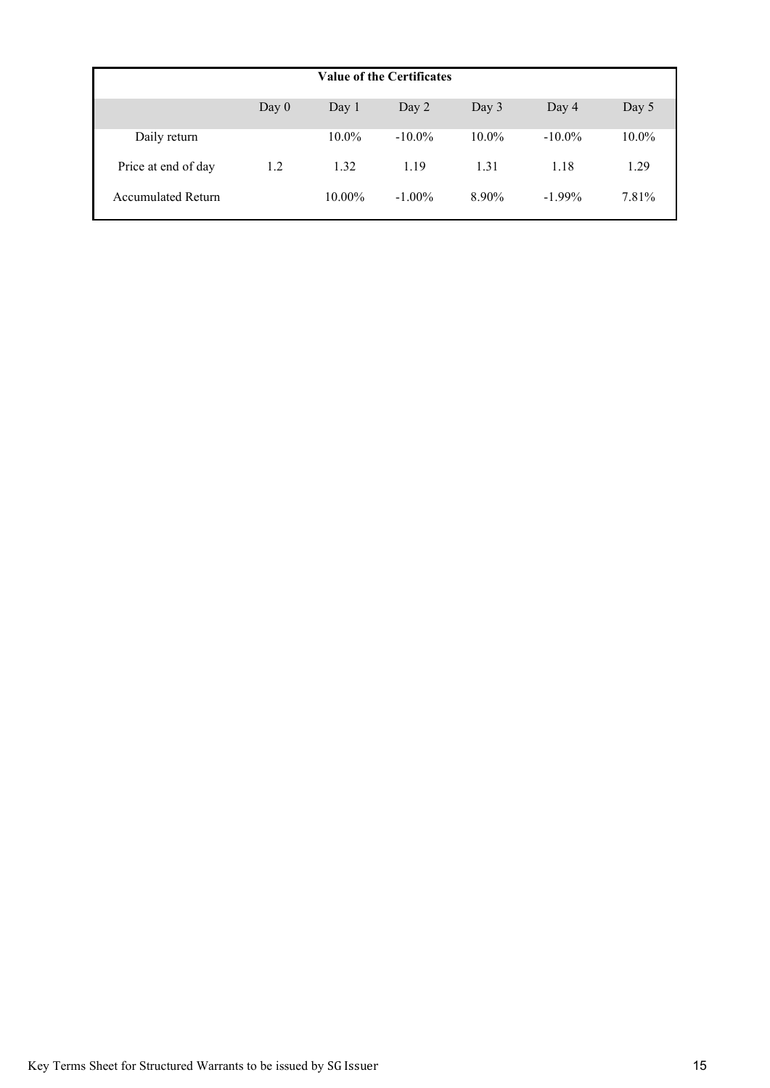| <b>Value of the Certificates</b> |         |           |           |          |           |          |  |
|----------------------------------|---------|-----------|-----------|----------|-----------|----------|--|
|                                  | Day $0$ | Day 1     | Day 2     | Day $3$  | Day $4$   | Day 5    |  |
| Daily return                     |         | $10.0\%$  | $-10.0\%$ | $10.0\%$ | $-10.0\%$ | $10.0\%$ |  |
| Price at end of day              | 1.2     | 1.32      | 1.19      | 1.31     | 1.18      | 1.29     |  |
| <b>Accumulated Return</b>        |         | $10.00\%$ | $-1.00\%$ | 8.90%    | $-1.99\%$ | 7.81%    |  |